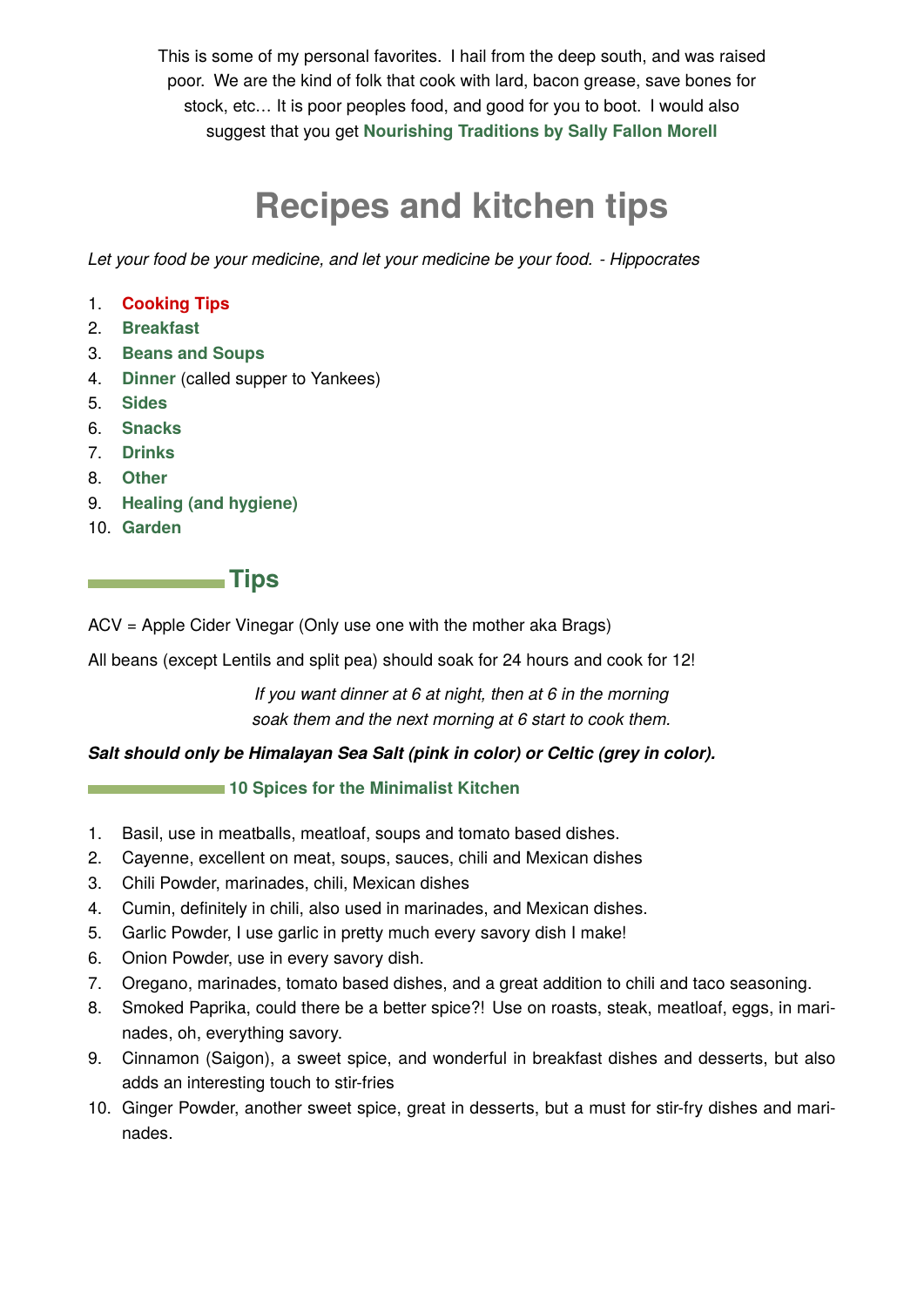This is some of my personal favorites. I hail from the deep south, and was raised poor. We are the kind of folk that cook with lard, bacon grease, save bones for stock, etc… It is poor peoples food, and good for you to boot. I would also suggest that you get **[Nourishing Traditions by Sally Fallon Morell](https://newtrendspublishing.com/books-newtrends-publishing/)**

# **Recipes and kitchen tips**

*Let your food be your medicine, and let your medicine be your food. - Hippocrates*

- 1. **Cooking Tips**
- 2. **[Breakfast](#page-1-0)**
- 3. **[Beans and Soups](#page-2-0)**
- 4. **[Dinner](#page-6-0)** (called supper to Yankees)
- 5. **[Sides](#page-8-0)**
- 6. **[Snacks](#page-10-0)**
- 7. **[Drinks](#page-12-0)**
- 8. **[Other](#page-13-0)**
- 9. **[Healing \(and hygiene\)](#page-18-0)**
- 10. **[Garden](#page-24-0)**

**Tips** 

ACV = Apple Cider Vinegar (Only use one with the mother aka Brags)

All beans (except Lentils and split pea) should soak for 24 hours and cook for 12!

*If you want dinner at 6 at night, then at 6 in the morning soak them and the next morning at 6 start to cook them.*

## *Salt should only be Himalayan Sea Salt (pink in color) or Celtic (grey in color).*

#### **10 Spices for the Minimalist Kitchen**

- 1. Basil, use in meatballs, meatloaf, soups and tomato based dishes.
- 2. Cayenne, excellent on meat, soups, sauces, chili and Mexican dishes
- 3. Chili Powder, marinades, chili, Mexican dishes
- 4. Cumin, definitely in chili, also used in marinades, and Mexican dishes.
- 5. Garlic Powder, I use garlic in pretty much every savory dish I make!
- 6. Onion Powder, use in every savory dish.
- 7. Oregano, marinades, tomato based dishes, and a great addition to chili and taco seasoning.
- 8. Smoked Paprika, could there be a better spice?! Use on roasts, steak, meatloaf, eggs, in marinades, oh, everything savory.
- 9. Cinnamon (Saigon), a sweet spice, and wonderful in breakfast dishes and desserts, but also adds an interesting touch to stir-fries
- 10. Ginger Powder, another sweet spice, great in desserts, but a must for stir-fry dishes and marinades.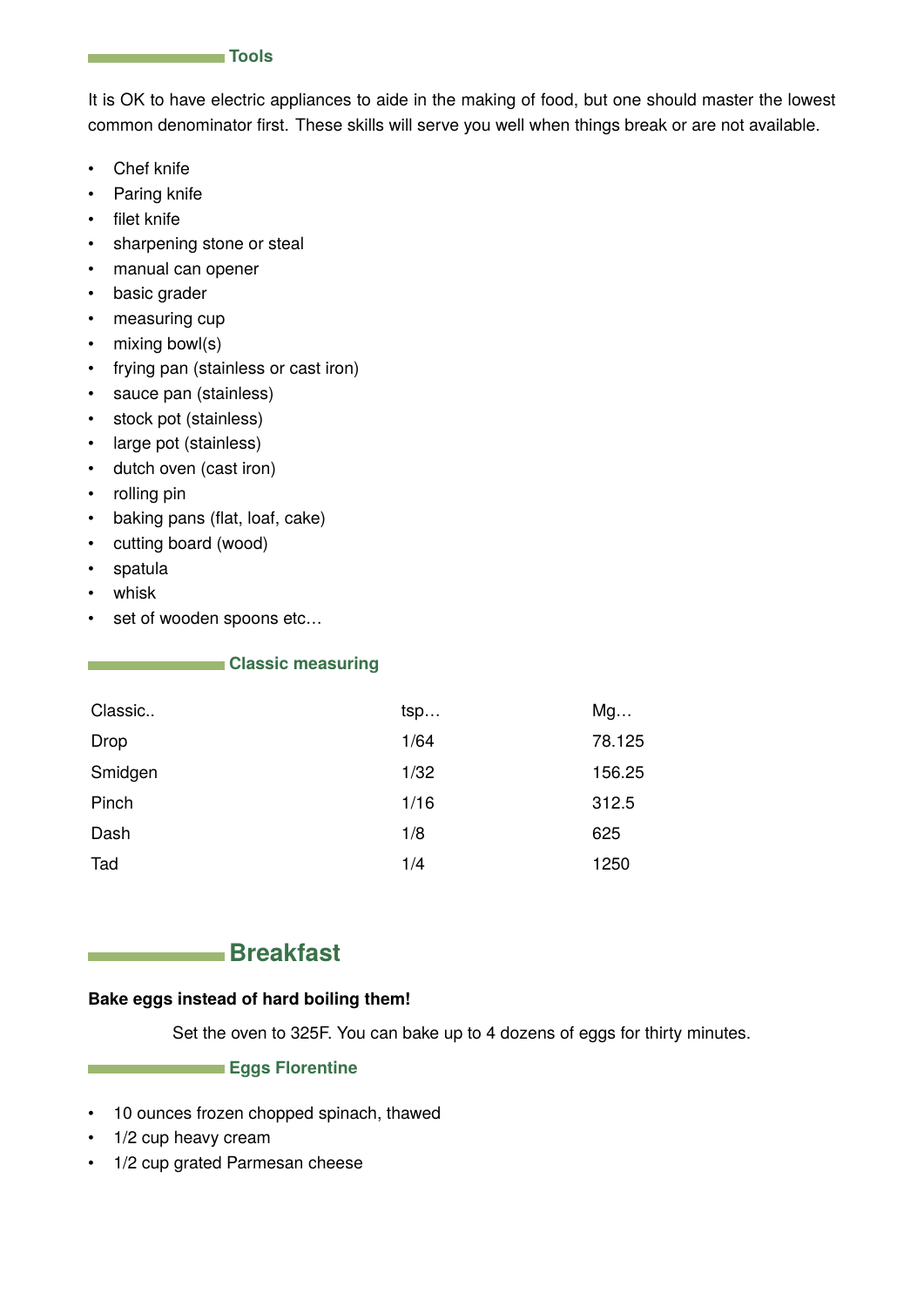

<span id="page-1-0"></span>It is OK to have electric appliances to aide in the making of food, but one should master the lowest common denominator first. These skills will serve you well when things break or are not available.

- Chef knife
- Paring knife
- filet knife
- sharpening stone or steal
- manual can opener
- basic grader
- measuring cup
- mixing bowl(s)
- frying pan (stainless or cast iron)
- sauce pan (stainless)
- stock pot (stainless)
- large pot (stainless)
- dutch oven (cast iron)
- rolling pin
- baking pans (flat, loaf, cake)
- cutting board (wood)
- spatula
- whisk
- set of wooden spoons etc…

#### **Classic measuring**

| Classic | tsp  | Mg     |
|---------|------|--------|
| Drop    | 1/64 | 78.125 |
| Smidgen | 1/32 | 156.25 |
| Pinch   | 1/16 | 312.5  |
| Dash    | 1/8  | 625    |
| Tad     | 1/4  | 1250   |

## **Breakfast**

#### **Bake eggs instead of hard boiling them!**

Set the oven to 325F. You can bake up to 4 dozens of eggs for thirty minutes.

#### **Eggs Florentine**

- 10 ounces frozen chopped spinach, thawed
- 1/2 cup heavy cream
- 1/2 cup grated Parmesan cheese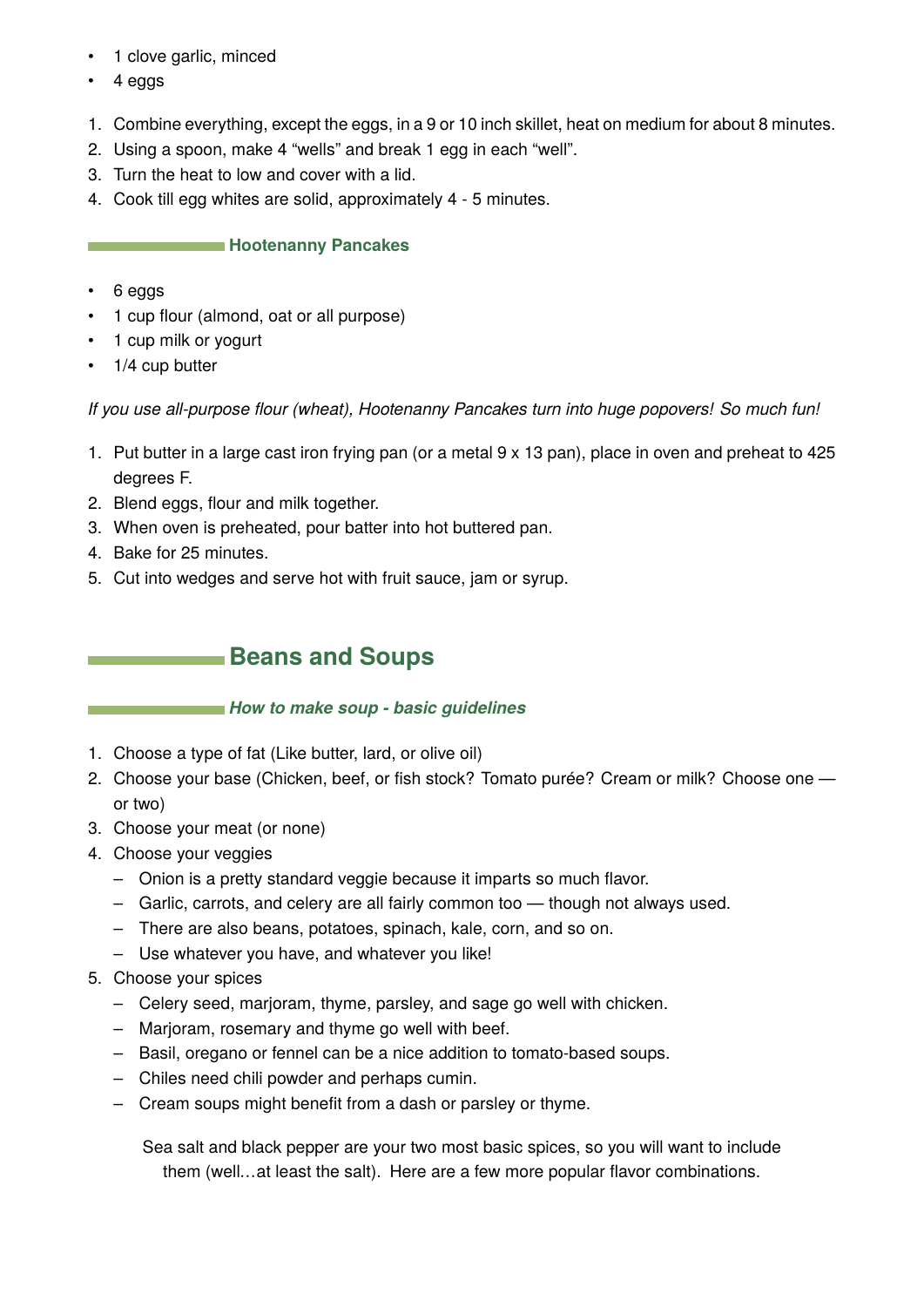- <span id="page-2-0"></span>• 1 clove garlic, minced
- 4 eggs
- 1. Combine everything, except the eggs, in a 9 or 10 inch skillet, heat on medium for about 8 minutes.
- 2. Using a spoon, make 4 "wells" and break 1 egg in each "well".
- 3. Turn the heat to low and cover with a lid.
- 4. Cook till egg whites are solid, approximately 4 5 minutes.

#### **Hootenanny Pancakes**

- 6 eggs
- 1 cup flour (almond, oat or all purpose)
- 1 cup milk or yogurt
- 1/4 cup butter

*If you use all-purpose flour (wheat), Hootenanny Pancakes turn into huge popovers! So much fun!*

- 1. Put butter in a large cast iron frying pan (or a metal 9 x 13 pan), place in oven and preheat to 425 degrees F.
- 2. Blend eggs, flour and milk together.
- 3. When oven is preheated, pour batter into hot buttered pan.
- 4. Bake for 25 minutes.
- 5. Cut into wedges and serve hot with fruit sauce, jam or syrup.

## **Beans and Soups**

## *How to make soup - basic guidelines*

- 1. Choose a type of fat (Like butter, lard, or olive oil)
- 2. Choose your base (Chicken, beef, or fish stock? Tomato purée? Cream or milk? Choose one or two)
- 3. Choose your meat (or none)
- 4. Choose your veggies
	- Onion is a pretty standard veggie because it imparts so much flavor.
	- Garlic, carrots, and celery are all fairly common too though not always used.
	- There are also beans, potatoes, spinach, kale, corn, and so on.
	- Use whatever you have, and whatever you like!

## 5. Choose your spices

- Celery seed, marjoram, thyme, parsley, and sage go well with chicken.
- Marjoram, rosemary and thyme go well with beef.
- Basil, oregano or fennel can be a nice addition to tomato-based soups.
- Chiles need chili powder and perhaps cumin.
- Cream soups might benefit from a dash or parsley or thyme.

Sea salt and black pepper are your two most basic spices, so you will want to include them (well…at least the salt). Here are a few more popular flavor combinations.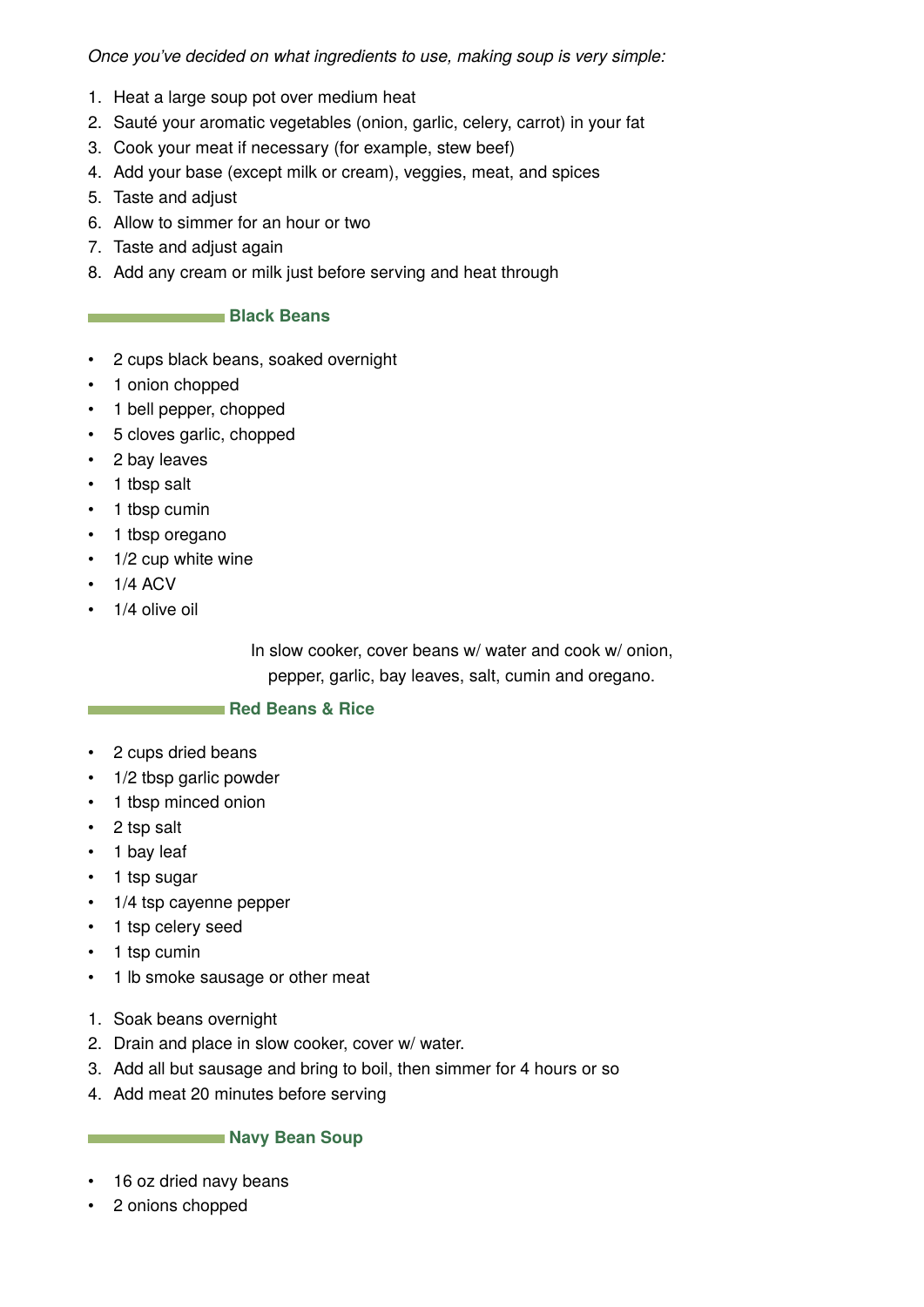*Once you've decided on what ingredients to use, making soup is very simple:*

- 1. Heat a large soup pot over medium heat
- 2. Sauté your aromatic vegetables (onion, garlic, celery, carrot) in your fat
- 3. Cook your meat if necessary (for example, stew beef)
- 4. Add your base (except milk or cream), veggies, meat, and spices
- 5. Taste and adjust
- 6. Allow to simmer for an hour or two
- 7. Taste and adjust again
- 8. Add any cream or milk just before serving and heat through

## **Black Beans**

- 2 cups black beans, soaked overnight
- 1 onion chopped
- 1 bell pepper, chopped
- 5 cloves garlic, chopped
- 2 bay leaves
- 1 tbsp salt
- 1 tbsp cumin
- 1 tbsp oregano
- 1/2 cup white wine
- $\cdot$  1/4 ACV
- 1/4 olive oil

In slow cooker, cover beans w/ water and cook w/ onion, pepper, garlic, bay leaves, salt, cumin and oregano.

#### **Red Beans & Rice**

- 2 cups dried beans
- 1/2 tbsp garlic powder
- 1 tbsp minced onion
- 2 tsp salt
- 1 bay leaf
- 1 tsp sugar
- 1/4 tsp cayenne pepper
- 1 tsp celery seed
- 1 tsp cumin
- 1 lb smoke sausage or other meat
- 1. Soak beans overnight
- 2. Drain and place in slow cooker, cover w/ water.
- 3. Add all but sausage and bring to boil, then simmer for 4 hours or so
- 4. Add meat 20 minutes before serving

#### **Navy Bean Soup**

- 16 oz dried navy beans
- 2 onions chopped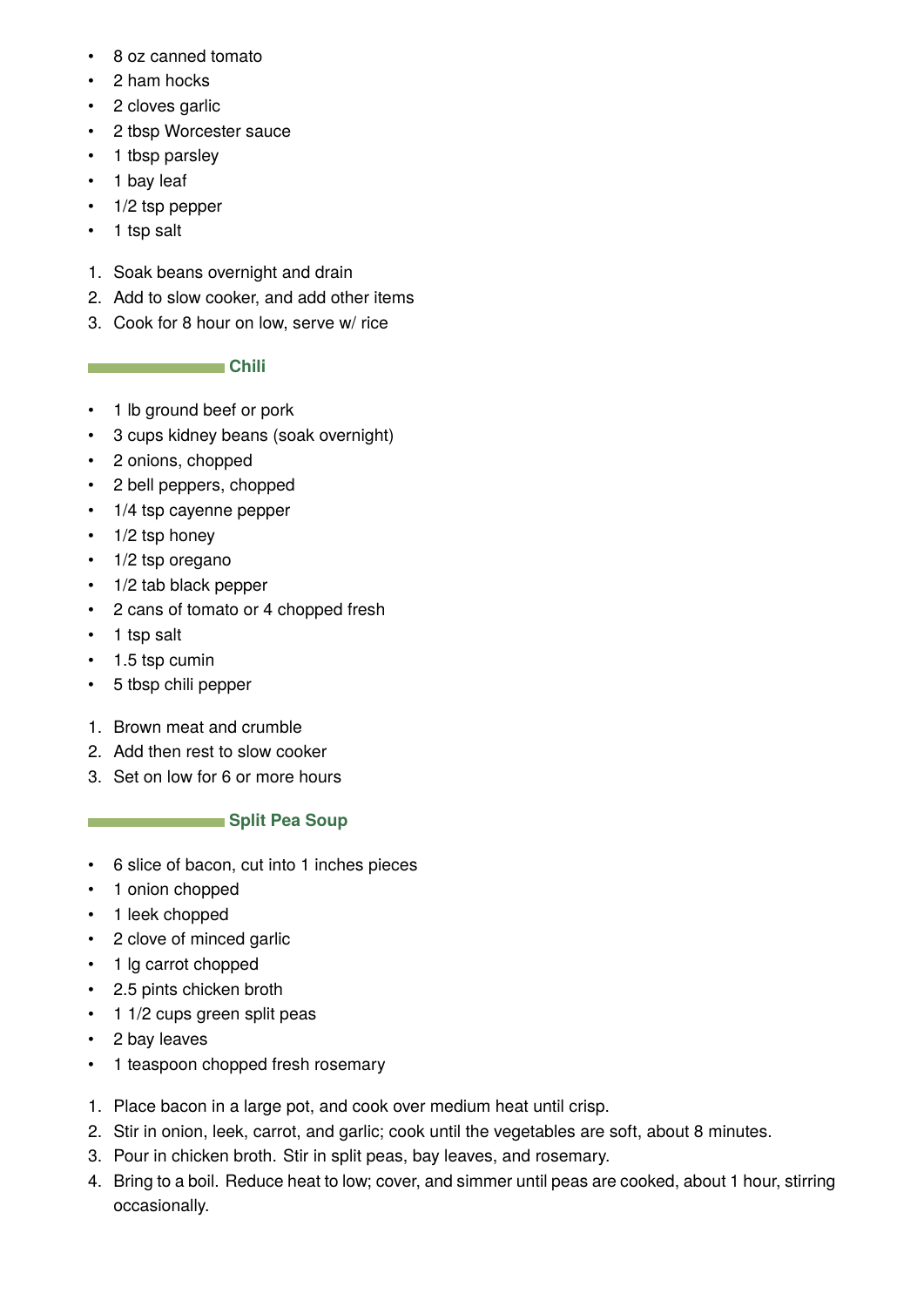- 8 oz canned tomato
- 2 ham hocks
- 2 cloves garlic
- 2 tbsp Worcester sauce
- 1 tbsp parsley
- 1 bay leaf
- 1/2 tsp pepper
- 1 tsp salt
- 1. Soak beans overnight and drain
- 2. Add to slow cooker, and add other items
- 3. Cook for 8 hour on low, serve w/ rice

## **Chili**

- 1 lb ground beef or pork
- 3 cups kidney beans (soak overnight)
- 2 onions, chopped
- 2 bell peppers, chopped
- 1/4 tsp cayenne pepper
- $\cdot$  1/2 tsp honey
- 1/2 tsp oregano
- 1/2 tab black pepper
- 2 cans of tomato or 4 chopped fresh
- 1 tsp salt
- 1.5 tsp cumin
- 5 tbsp chili pepper
- 1. Brown meat and crumble
- 2. Add then rest to slow cooker
- 3. Set on low for 6 or more hours

## **Split Pea Soup**

- 6 slice of bacon, cut into 1 inches pieces
- 1 onion chopped
- 1 leek chopped
- 2 clove of minced garlic
- 1 lg carrot chopped
- 2.5 pints chicken broth
- 1 1/2 cups green split peas
- 2 bay leaves
- 1 teaspoon chopped fresh rosemary
- 1. Place bacon in a large pot, and cook over medium heat until crisp.
- 2. Stir in onion, leek, carrot, and garlic; cook until the vegetables are soft, about 8 minutes.
- 3. Pour in chicken broth. Stir in split peas, bay leaves, and rosemary.
- 4. Bring to a boil. Reduce heat to low; cover, and simmer until peas are cooked, about 1 hour, stirring occasionally.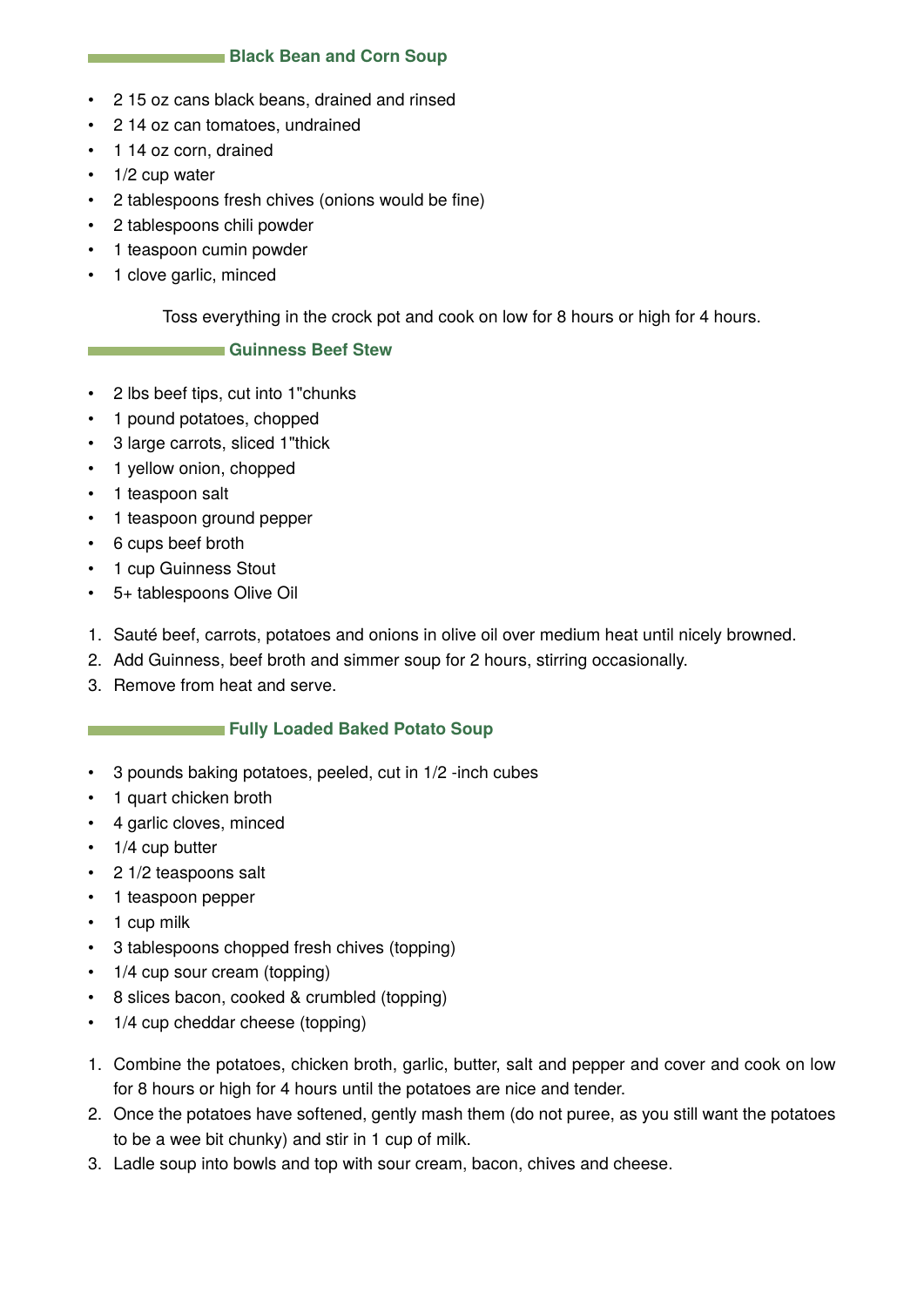#### **Black Bean and Corn Soup**

- 2 15 oz cans black beans, drained and rinsed
- 2 14 oz can tomatoes, undrained
- 1 14 oz corn, drained
- $\cdot$  1/2 cup water
- 2 tablespoons fresh chives (onions would be fine)
- 2 tablespoons chili powder
- 1 teaspoon cumin powder
- 1 clove garlic, minced

Toss everything in the crock pot and cook on low for 8 hours or high for 4 hours.

#### **Guinness Beef Stew**

- 2 lbs beef tips, cut into 1"chunks
- 1 pound potatoes, chopped
- 3 large carrots, sliced 1"thick
- 1 yellow onion, chopped
- 1 teaspoon salt
- 1 teaspoon ground pepper
- 6 cups beef broth
- 1 cup Guinness Stout
- 5+ tablespoons Olive Oil
- 1. Sauté beef, carrots, potatoes and onions in olive oil over medium heat until nicely browned.
- 2. Add Guinness, beef broth and simmer soup for 2 hours, stirring occasionally.
- 3. Remove from heat and serve.

#### **Fully Loaded Baked Potato Soup**

- 3 pounds baking potatoes, peeled, cut in 1/2 -inch cubes
- 1 quart chicken broth
- 4 garlic cloves, minced
- 1/4 cup butter
- 2 1/2 teaspoons salt
- 1 teaspoon pepper
- 1 cup milk
- 3 tablespoons chopped fresh chives (topping)
- 1/4 cup sour cream (topping)
- 8 slices bacon, cooked & crumbled (topping)
- 1/4 cup cheddar cheese (topping)
- 1. Combine the potatoes, chicken broth, garlic, butter, salt and pepper and cover and cook on low for 8 hours or high for 4 hours until the potatoes are nice and tender.
- 2. Once the potatoes have softened, gently mash them (do not puree, as you still want the potatoes to be a wee bit chunky) and stir in 1 cup of milk.
- 3. Ladle soup into bowls and top with sour cream, bacon, chives and cheese.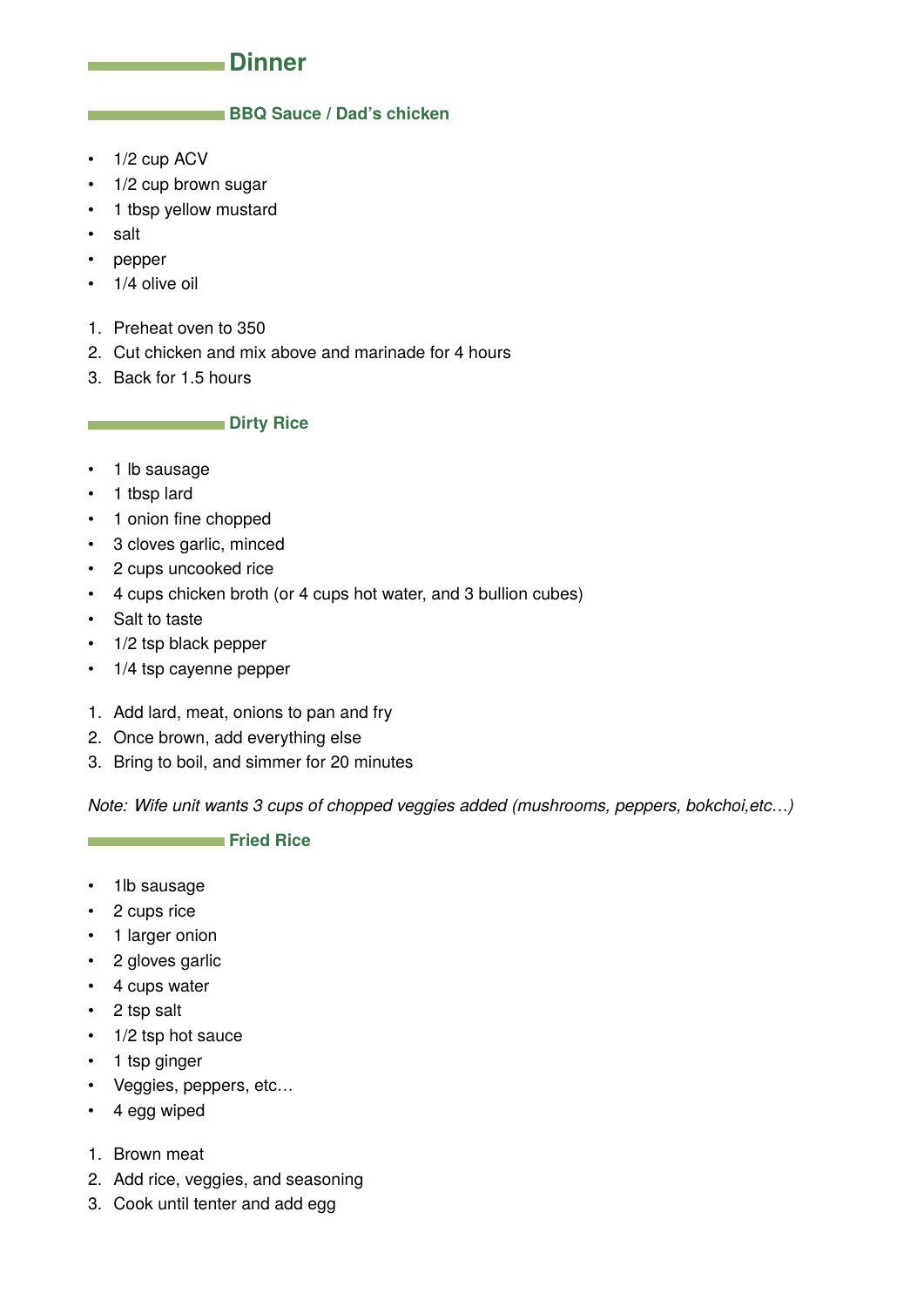## **Dinner**

#### <span id="page-6-0"></span>**BBQ Sauce / Dad's chicken**

- 1/2 cup ACV
- 1/2 cup brown sugar
- 1 tbsp yellow mustard
- salt
- pepper
- 1/4 olive oil
- 1. Preheat oven to 350
- 2. Cut chicken and mix above and marinade for 4 hours
- 3. Back for 1.5 hours

#### **Dirty Rice**

- 1 lb sausage
- 1 tbsp lard
- 1 onion fine chopped
- 3 cloves garlic, minced
- 2 cups uncooked rice
- 4 cups chicken broth (or 4 cups hot water, and 3 bullion cubes)
- Salt to taste
- 1/2 tsp black pepper
- 1/4 tsp cayenne pepper
- 1. Add lard, meat, onions to pan and fry
- 2. Once brown, add everything else
- 3. Bring to boil, and simmer for 20 minutes

*Note: Wife unit wants 3 cups of chopped veggies added (mushrooms, peppers, bokchoi,etc*…*)*

**Fried Rice** 

- 1lb sausage
- 2 cups rice
- 1 larger onion
- 2 gloves garlic
- 4 cups water
- 2 tsp salt
- 1/2 tsp hot sauce
- 1 tsp ginger
- Veggies, peppers, etc…
- 4 egg wiped
- 1. Brown meat
- 2. Add rice, veggies, and seasoning
- 3. Cook until tenter and add egg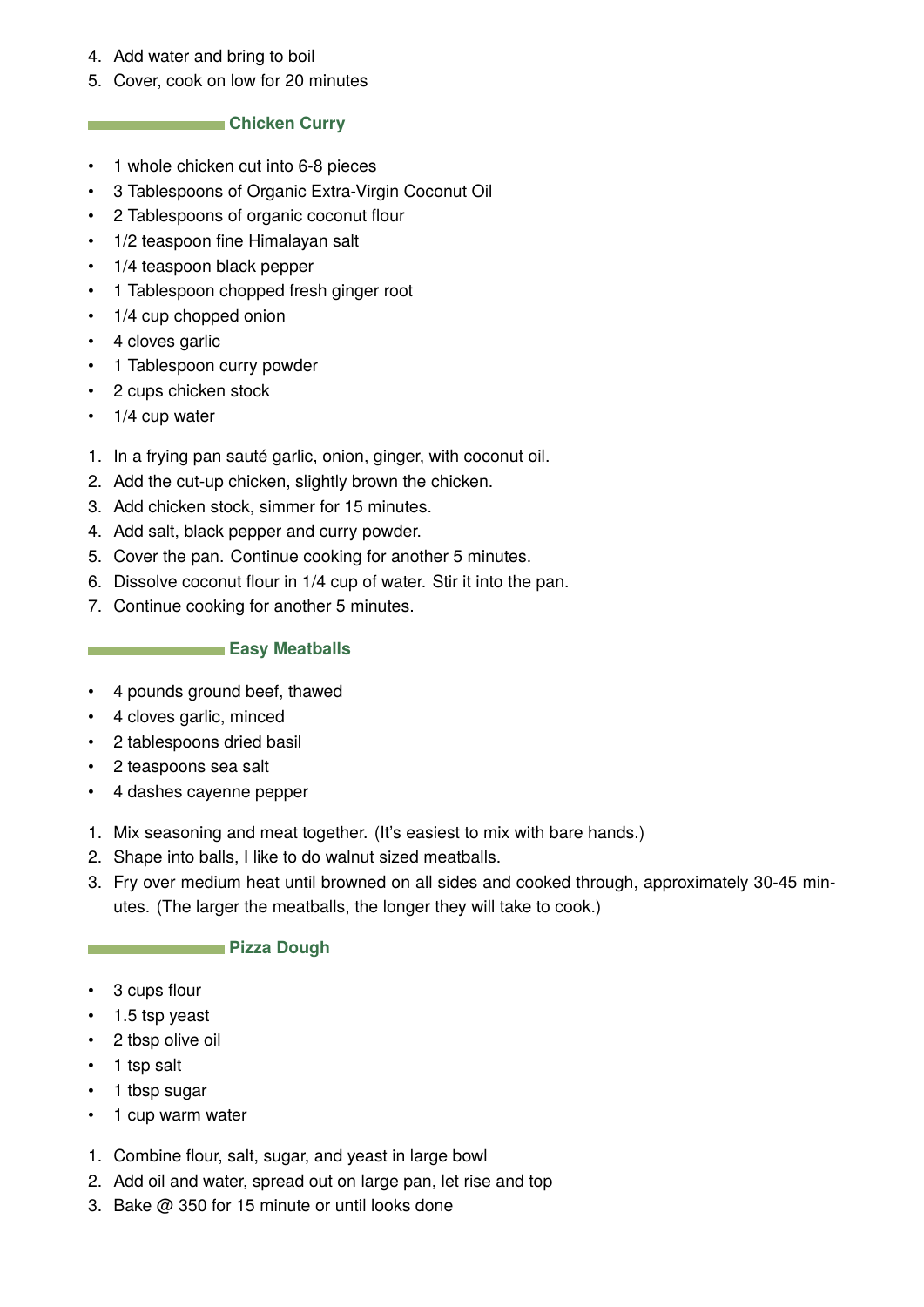- 4. Add water and bring to boil
- 5. Cover, cook on low for 20 minutes

## **Chicken Curry**

- 1 whole chicken cut into 6-8 pieces
- 3 Tablespoons of Organic Extra-Virgin Coconut Oil
- 2 Tablespoons of organic coconut flour
- 1/2 teaspoon fine Himalayan salt
- 1/4 teaspoon black pepper
- 1 Tablespoon chopped fresh ginger root
- 1/4 cup chopped onion
- 4 cloves garlic
- 1 Tablespoon curry powder
- 2 cups chicken stock
- 1/4 cup water
- 1. In a frying pan sauté garlic, onion, ginger, with coconut oil.
- 2. Add the cut-up chicken, slightly brown the chicken.
- 3. Add chicken stock, simmer for 15 minutes.
- 4. Add salt, black pepper and curry powder.
- 5. Cover the pan. Continue cooking for another 5 minutes.
- 6. Dissolve coconut flour in 1/4 cup of water. Stir it into the pan.
- 7. Continue cooking for another 5 minutes.

## **Easy Meatballs**

- 4 pounds ground beef, thawed
- 4 cloves garlic, minced
- 2 tablespoons dried basil
- 2 teaspoons sea salt
- 4 dashes cayenne pepper
- 1. Mix seasoning and meat together. (It's easiest to mix with bare hands.)
- 2. Shape into balls, I like to do walnut sized meatballs.
- 3. Fry over medium heat until browned on all sides and cooked through, approximately 30-45 minutes. (The larger the meatballs, the longer they will take to cook.)

## **Pizza Dough**

- 3 cups flour
- 1.5 tsp yeast
- 2 tbsp olive oil
- 1 tsp salt
- 1 tbsp sugar
- 1 cup warm water
- 1. Combine flour, salt, sugar, and yeast in large bowl
- 2. Add oil and water, spread out on large pan, let rise and top
- 3. Bake @ 350 for 15 minute or until looks done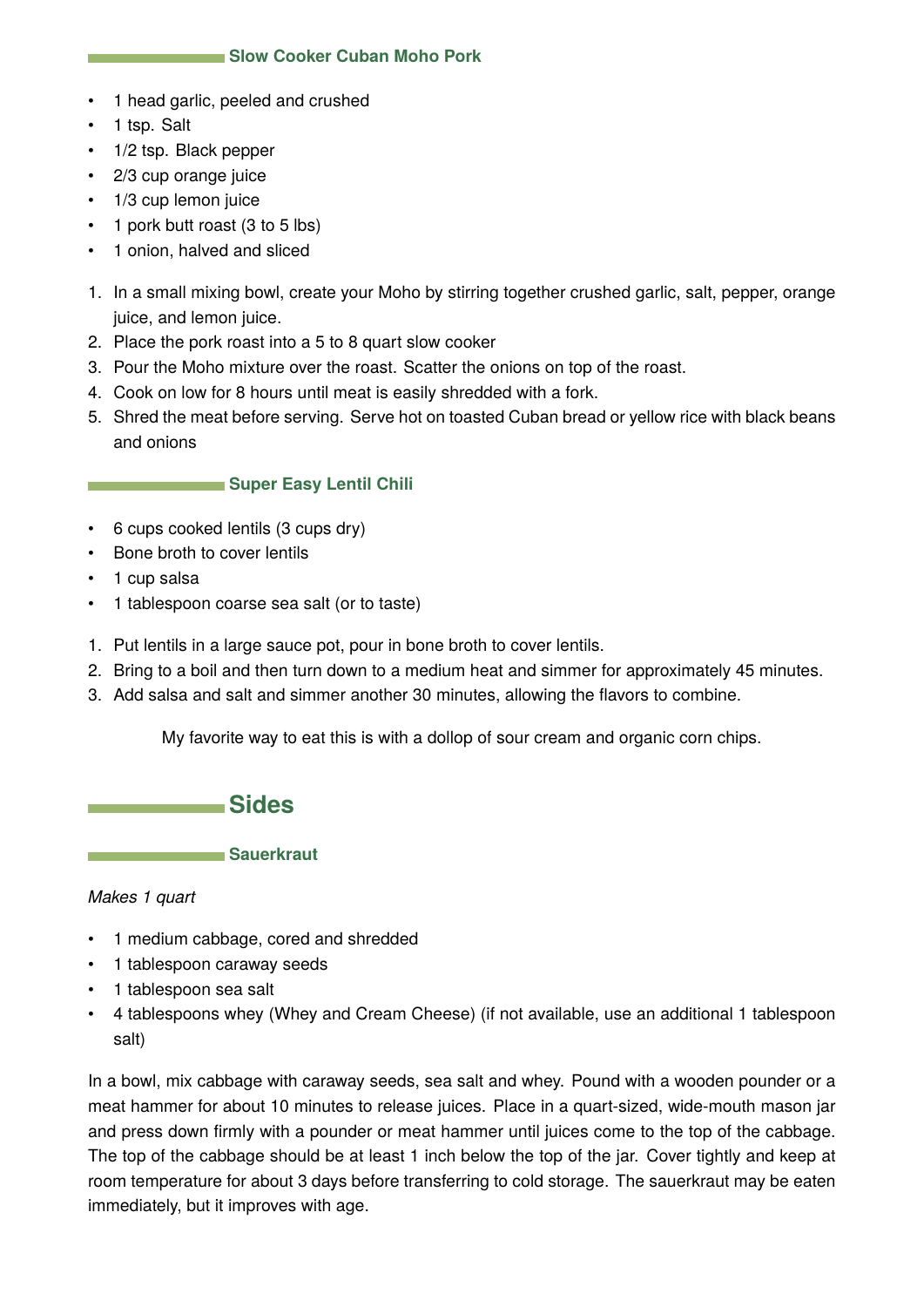- <span id="page-8-0"></span>• 1 head garlic, peeled and crushed
- 1 tsp. Salt
- 1/2 tsp. Black pepper
- 2/3 cup orange juice
- 1/3 cup lemon juice
- 1 pork butt roast (3 to 5 lbs)
- 1 onion, halved and sliced
- 1. In a small mixing bowl, create your Moho by stirring together crushed garlic, salt, pepper, orange juice, and lemon juice.
- 2. Place the pork roast into a 5 to 8 quart slow cooker
- 3. Pour the Moho mixture over the roast. Scatter the onions on top of the roast.
- 4. Cook on low for 8 hours until meat is easily shredded with a fork.
- 5. Shred the meat before serving. Serve hot on toasted Cuban bread or yellow rice with black beans and onions

## **Super Easy Lentil Chili**

- 6 cups cooked lentils (3 cups dry)
- Bone broth to cover lentils
- 1 cup salsa
- 1 tablespoon coarse sea salt (or to taste)
- 1. Put lentils in a large sauce pot, pour in bone broth to cover lentils.
- 2. Bring to a boil and then turn down to a medium heat and simmer for approximately 45 minutes.
- 3. Add salsa and salt and simmer another 30 minutes, allowing the flavors to combine.

My favorite way to eat this is with a dollop of sour cream and organic corn chips.



**Sauerkraut** 

## *Makes 1 quart*

- 1 medium cabbage, cored and shredded
- 1 tablespoon caraway seeds
- 1 tablespoon sea salt
- 4 tablespoons whey (Whey and Cream Cheese) (if not available, use an additional 1 tablespoon salt)

In a bowl, mix cabbage with caraway seeds, sea salt and whey. Pound with a wooden pounder or a meat hammer for about 10 minutes to release juices. Place in a quart-sized, wide-mouth mason jar and press down firmly with a pounder or meat hammer until juices come to the top of the cabbage. The top of the cabbage should be at least 1 inch below the top of the jar. Cover tightly and keep at room temperature for about 3 days before transferring to cold storage. The sauerkraut may be eaten immediately, but it improves with age.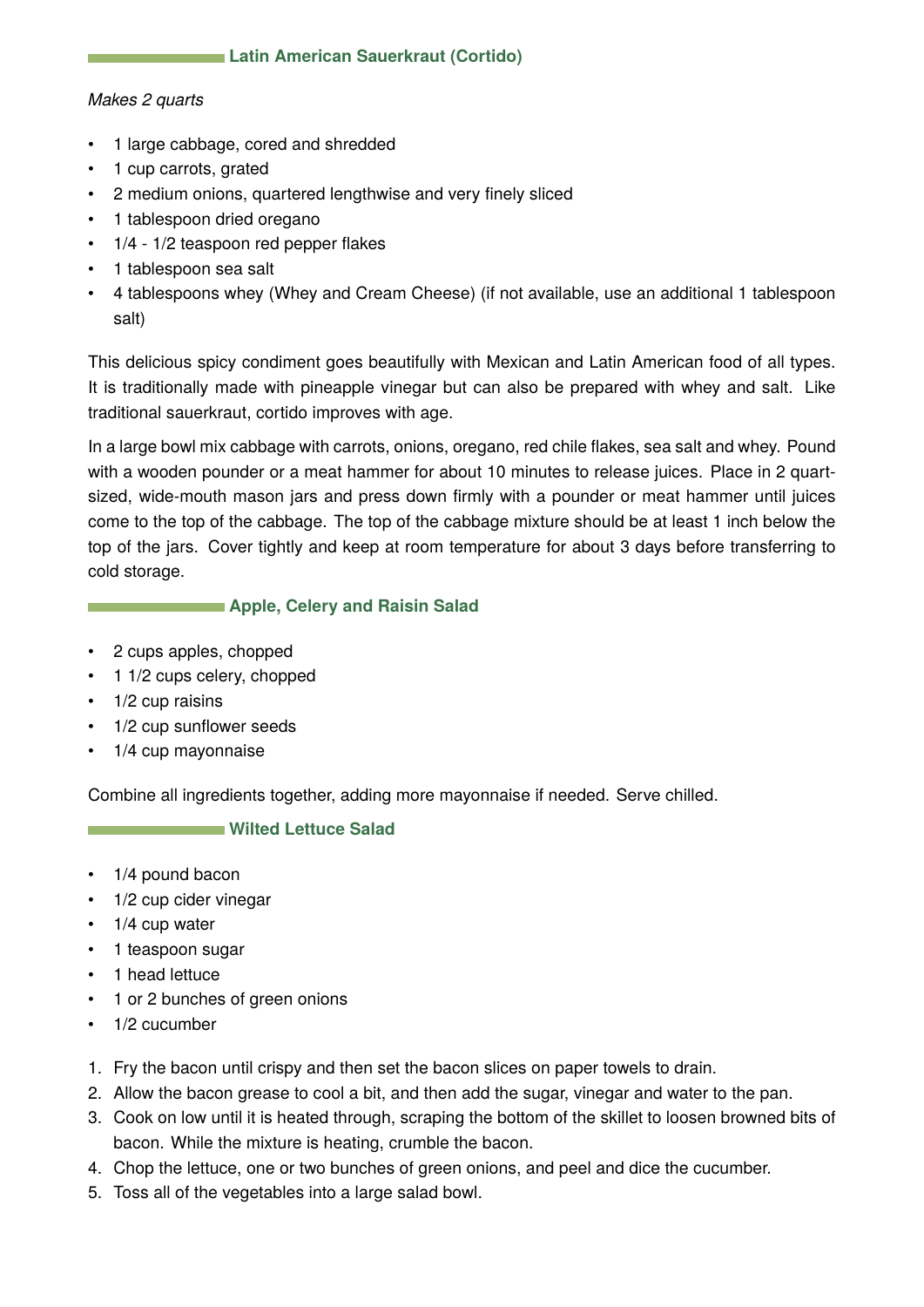## **Latin American Sauerkraut (Cortido)**

#### *Makes 2 quarts*

- 1 large cabbage, cored and shredded
- 1 cup carrots, grated
- 2 medium onions, quartered lengthwise and very finely sliced
- 1 tablespoon dried oregano
- 1/4 1/2 teaspoon red pepper flakes
- 1 tablespoon sea salt
- 4 tablespoons whey (Whey and Cream Cheese) (if not available, use an additional 1 tablespoon salt)

This delicious spicy condiment goes beautifully with Mexican and Latin American food of all types. It is traditionally made with pineapple vinegar but can also be prepared with whey and salt. Like traditional sauerkraut, cortido improves with age.

In a large bowl mix cabbage with carrots, onions, oregano, red chile flakes, sea salt and whey. Pound with a wooden pounder or a meat hammer for about 10 minutes to release juices. Place in 2 quartsized, wide-mouth mason jars and press down firmly with a pounder or meat hammer until juices come to the top of the cabbage. The top of the cabbage mixture should be at least 1 inch below the top of the jars. Cover tightly and keep at room temperature for about 3 days before transferring to cold storage.

## **Apple, Celery and Raisin Salad**

- 2 cups apples, chopped
- 1 1/2 cups celery, chopped
- $\cdot$  1/2 cup raisins
- 1/2 cup sunflower seeds
- 1/4 cup mayonnaise

Combine all ingredients together, adding more mayonnaise if needed. Serve chilled.

## **Wilted Lettuce Salad**

- 1/4 pound bacon
- 1/2 cup cider vinegar
- 1/4 cup water
- 1 teaspoon sugar
- 1 head lettuce
- 1 or 2 bunches of green onions
- 1/2 cucumber
- 1. Fry the bacon until crispy and then set the bacon slices on paper towels to drain.
- 2. Allow the bacon grease to cool a bit, and then add the sugar, vinegar and water to the pan.
- 3. Cook on low until it is heated through, scraping the bottom of the skillet to loosen browned bits of bacon. While the mixture is heating, crumble the bacon.
- 4. Chop the lettuce, one or two bunches of green onions, and peel and dice the cucumber.
- 5. Toss all of the vegetables into a large salad bowl.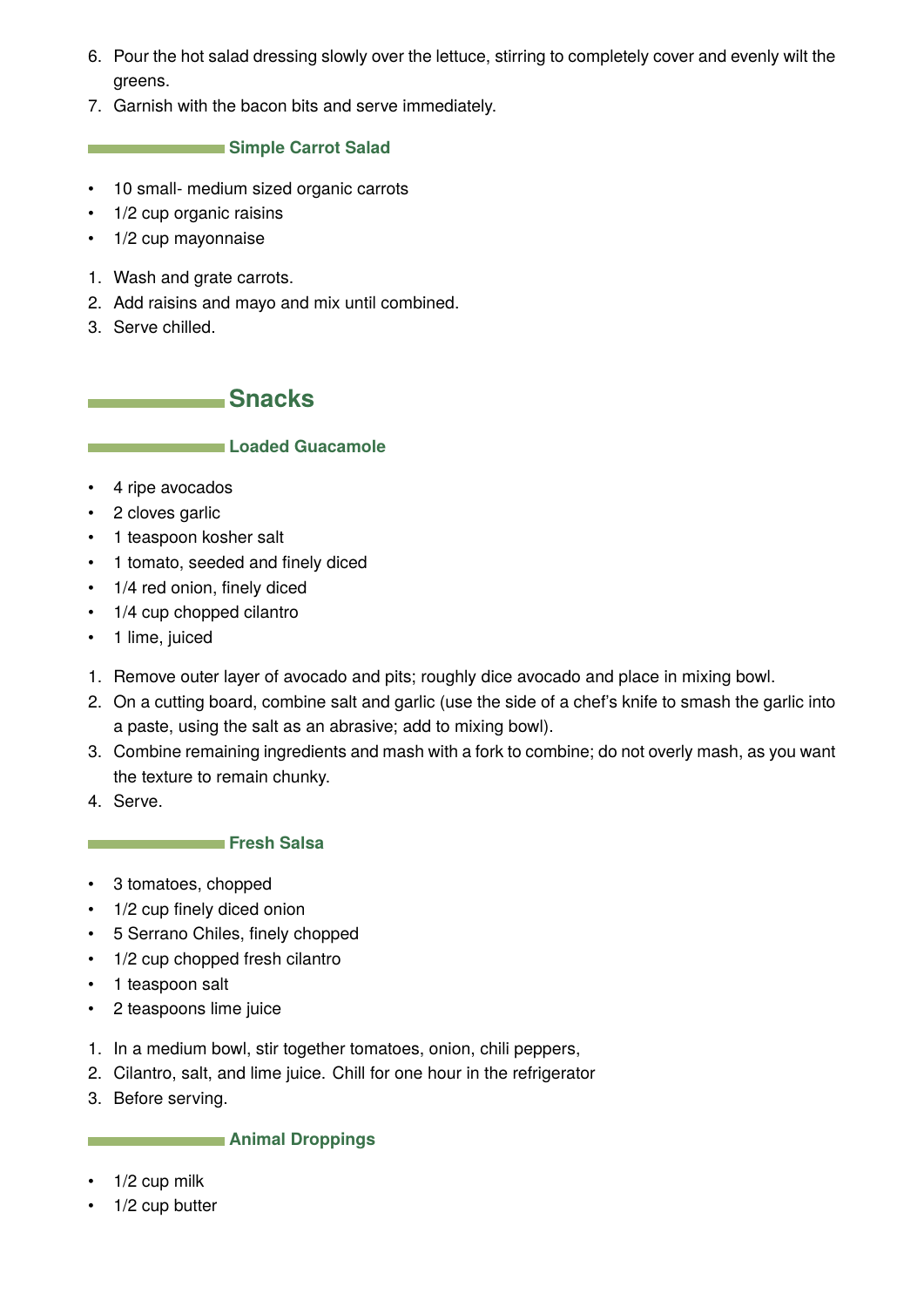- <span id="page-10-0"></span>6. Pour the hot salad dressing slowly over the lettuce, stirring to completely cover and evenly wilt the greens.
- 7. Garnish with the bacon bits and serve immediately.

## **Simple Carrot Salad**

- 10 small- medium sized organic carrots
- 1/2 cup organic raisins
- 1/2 cup mayonnaise
- 1. Wash and grate carrots.
- 2. Add raisins and mayo and mix until combined.
- 3. Serve chilled.

**Snacks** 

## **Loaded Guacamole**

- 4 ripe avocados
- 2 cloves garlic
- 1 teaspoon kosher salt
- 1 tomato, seeded and finely diced
- 1/4 red onion, finely diced
- 1/4 cup chopped cilantro
- 1 lime, juiced
- 1. Remove outer layer of avocado and pits; roughly dice avocado and place in mixing bowl.
- 2. On a cutting board, combine salt and garlic (use the side of a chef's knife to smash the garlic into a paste, using the salt as an abrasive; add to mixing bowl).
- 3. Combine remaining ingredients and mash with a fork to combine; do not overly mash, as you want the texture to remain chunky.
- 4. Serve.

#### **Fresh Salsa**

- 3 tomatoes, chopped
- 1/2 cup finely diced onion
- 5 Serrano Chiles, finely chopped
- 1/2 cup chopped fresh cilantro
- 1 teaspoon salt
- 2 teaspoons lime juice
- 1. In a medium bowl, stir together tomatoes, onion, chili peppers,
- 2. Cilantro, salt, and lime juice. Chill for one hour in the refrigerator
- 3. Before serving.

#### **Animal Droppings**

- $\cdot$  1/2 cup milk
- 1/2 cup butter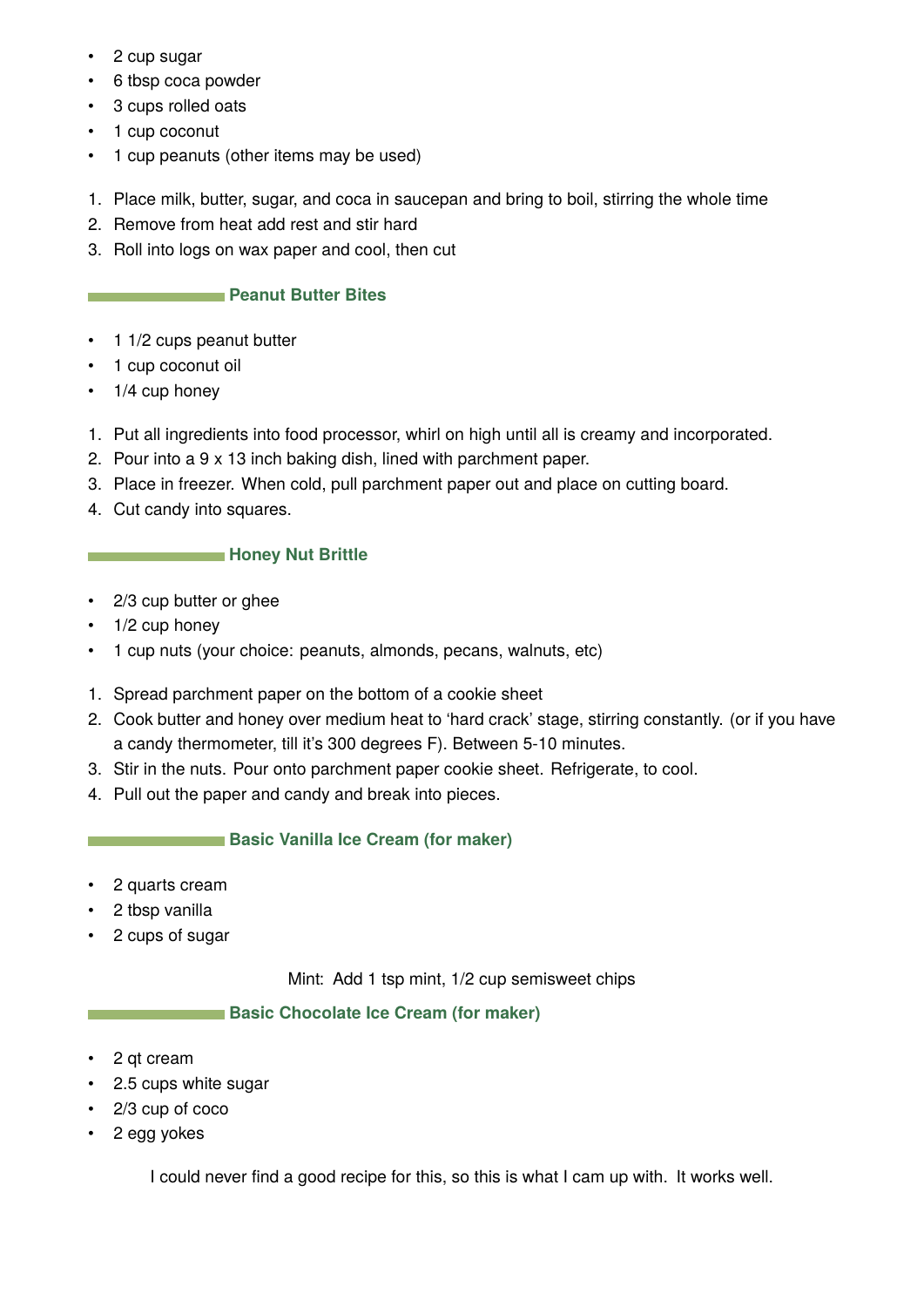- 2 cup sugar
- 6 tbsp coca powder
- 3 cups rolled oats
- 1 cup coconut
- 1 cup peanuts (other items may be used)
- 1. Place milk, butter, sugar, and coca in saucepan and bring to boil, stirring the whole time
- 2. Remove from heat add rest and stir hard
- 3. Roll into logs on wax paper and cool, then cut

## **Peanut Butter Bites**

- 1 1/2 cups peanut butter
- 1 cup coconut oil
- 1/4 cup honey
- 1. Put all ingredients into food processor, whirl on high until all is creamy and incorporated.
- 2. Pour into a 9 x 13 inch baking dish, lined with parchment paper.
- 3. Place in freezer. When cold, pull parchment paper out and place on cutting board.
- 4. Cut candy into squares.

## **Honey Nut Brittle**

- 2/3 cup butter or ghee
- 1/2 cup honey
- 1 cup nuts (your choice: peanuts, almonds, pecans, walnuts, etc)
- 1. Spread parchment paper on the bottom of a cookie sheet
- 2. Cook butter and honey over medium heat to 'hard crack' stage, stirring constantly. (or if you have a candy thermometer, till it's 300 degrees F). Between 5-10 minutes.
- 3. Stir in the nuts. Pour onto parchment paper cookie sheet. Refrigerate, to cool.
- 4. Pull out the paper and candy and break into pieces.

## **Basic Vanilla Ice Cream (for maker)**

- 2 quarts cream
- 2 tbsp vanilla
- 2 cups of sugar

Mint: Add 1 tsp mint, 1/2 cup semisweet chips

## **Basic Chocolate Ice Cream (for maker)**

- 2 qt cream
- 2.5 cups white sugar
- 2/3 cup of coco
- 2 egg yokes

I could never find a good recipe for this, so this is what I cam up with. It works well.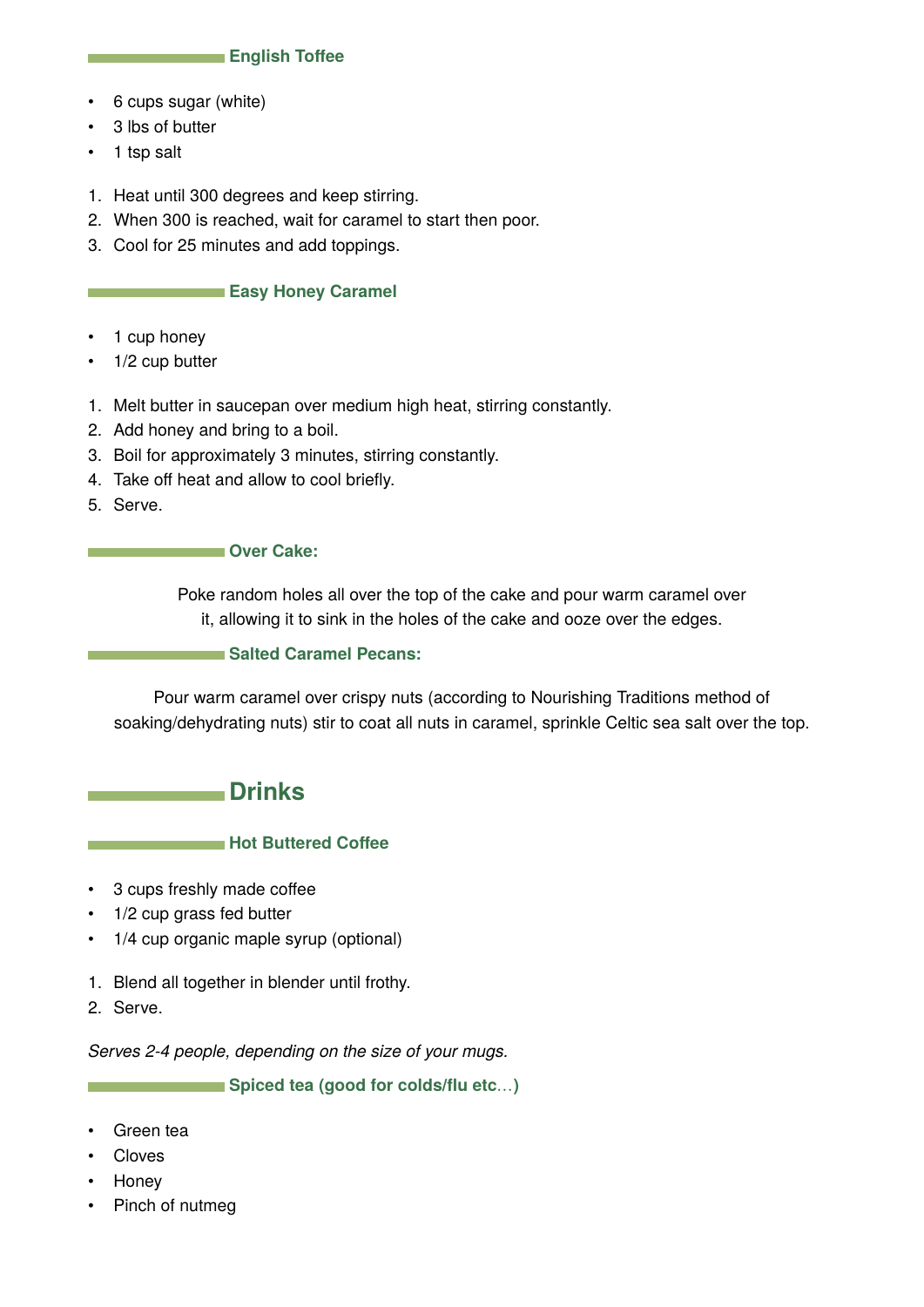#### **English Toffee**

- <span id="page-12-0"></span>• 6 cups sugar (white)
- 3 lbs of butter
- 1 tsp salt
- 1. Heat until 300 degrees and keep stirring.
- 2. When 300 is reached, wait for caramel to start then poor.
- 3. Cool for 25 minutes and add toppings.

#### **Easy Honey Caramel**

- 1 cup honey
- 1/2 cup butter
- 1. Melt butter in saucepan over medium high heat, stirring constantly.
- 2. Add honey and bring to a boil.
- 3. Boil for approximately 3 minutes, stirring constantly.
- 4. Take off heat and allow to cool briefly.
- 5. Serve.

#### **Cover Cake:**

Poke random holes all over the top of the cake and pour warm caramel over it, allowing it to sink in the holes of the cake and ooze over the edges.

#### **Salted Caramel Pecans:**

Pour warm caramel over crispy nuts (according to Nourishing Traditions method of soaking/dehydrating nuts) stir to coat all nuts in caramel, sprinkle Celtic sea salt over the top.

## **Drinks**

#### **Hot Buttered Coffee**

- 3 cups freshly made coffee
- 1/2 cup grass fed butter
- 1/4 cup organic maple syrup (optional)
- 1. Blend all together in blender until frothy.
- 2. Serve.

*Serves 2-4 people, depending on the size of your mugs.*

**Spiced tea (good for colds/flu etc**…**)**

- Green tea
- Cloves
- Honey
- Pinch of nutmeg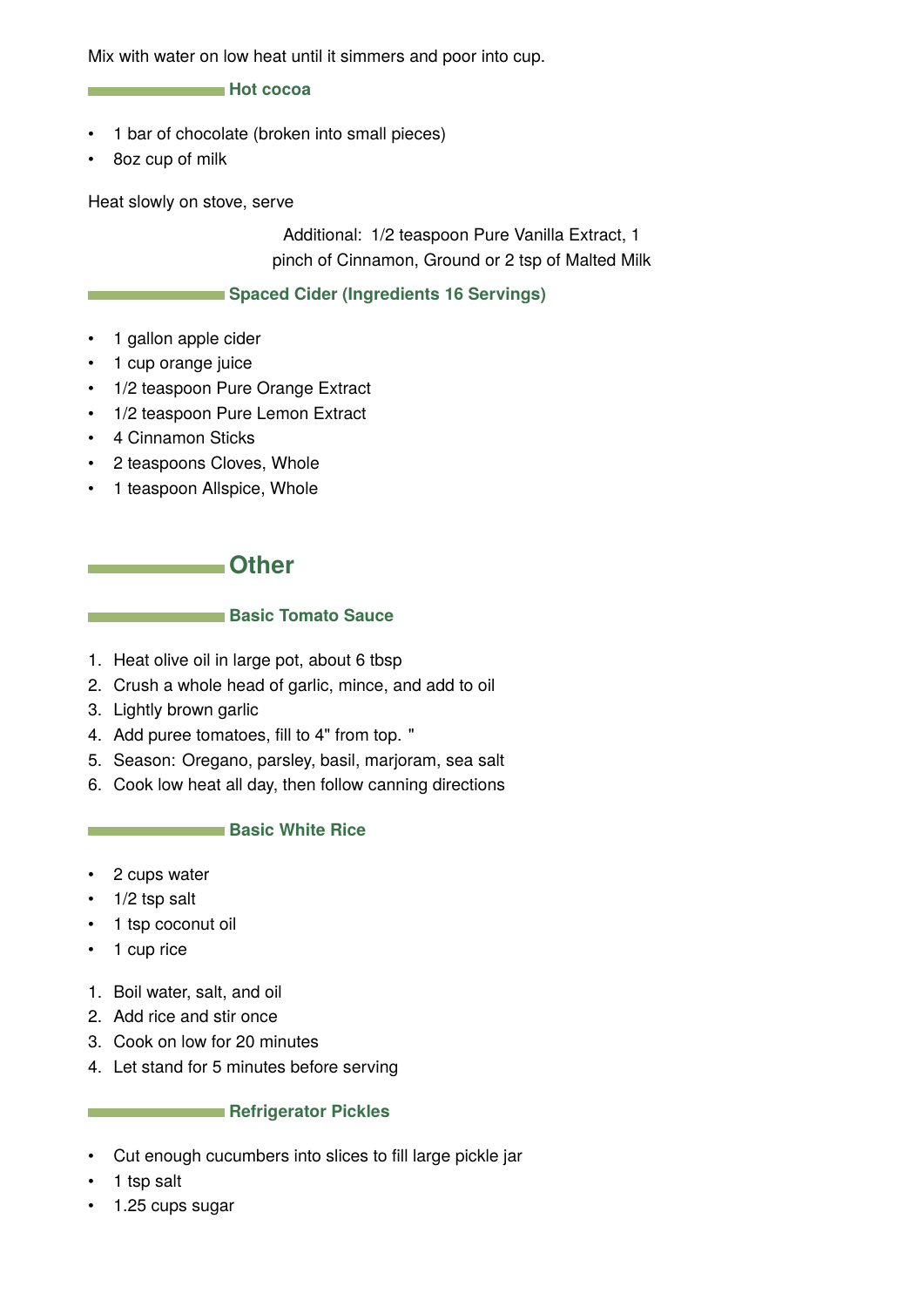<span id="page-13-0"></span>Mix with water on low heat until it simmers and poor into cup.

#### **Hot cocoa**

- 1 bar of chocolate (broken into small pieces)
- 8oz cup of milk

Heat slowly on stove, serve

Additional: 1/2 teaspoon Pure Vanilla Extract, 1 pinch of Cinnamon, Ground or 2 tsp of Malted Milk

## **Spaced Cider (Ingredients 16 Servings)**

- 1 gallon apple cider
- 1 cup orange juice
- 1/2 teaspoon Pure Orange Extract
- 1/2 teaspoon Pure Lemon Extract
- 4 Cinnamon Sticks
- 2 teaspoons Cloves, Whole
- 1 teaspoon Allspice, Whole

## **Communicate Communicate Communicate Communicate Communicate Communicate Communicate Communicate Communicate Communicate Communicate Communicate Communicate Communicate Communicate Communicate Communicate Communicate Commu**

## **Basic Tomato Sauce**

- 1. Heat olive oil in large pot, about 6 tbsp
- 2. Crush a whole head of garlic, mince, and add to oil
- 3. Lightly brown garlic
- 4. Add puree tomatoes, fill to 4" from top. "
- 5. Season: Oregano, parsley, basil, marjoram, sea salt
- 6. Cook low heat all day, then follow canning directions

#### **Basic White Rice**

- 2 cups water
- $\cdot$  1/2 tsp salt
- 1 tsp coconut oil
- 1 cup rice
- 1. Boil water, salt, and oil
- 2. Add rice and stir once
- 3. Cook on low for 20 minutes
- 4. Let stand for 5 minutes before serving

#### **Refrigerator Pickles**

- Cut enough cucumbers into slices to fill large pickle jar
- 1 tsp salt
- 1.25 cups sugar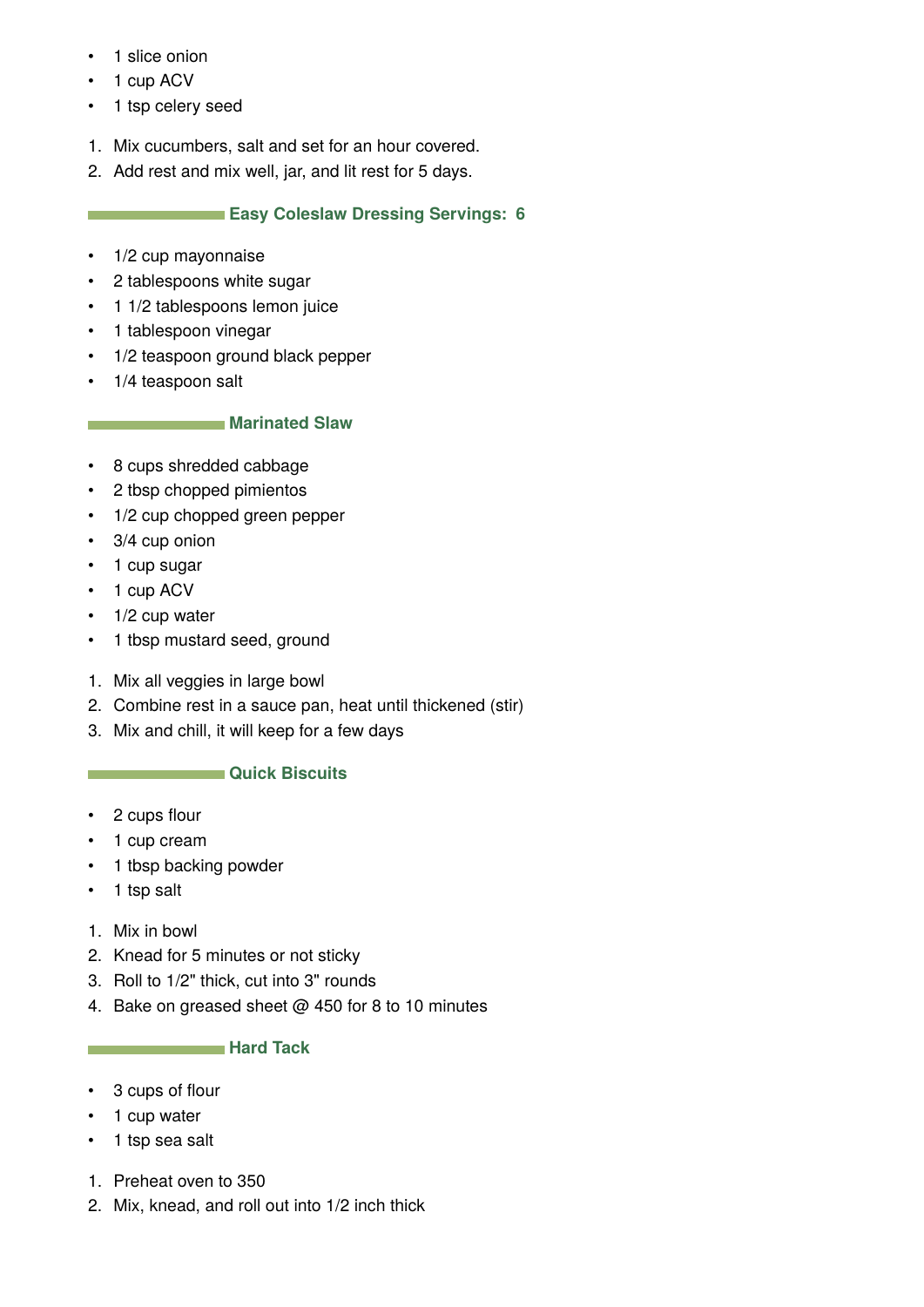- 1 slice onion
- 1 cup ACV
- 1 tsp celery seed
- 1. Mix cucumbers, salt and set for an hour covered.
- 2. Add rest and mix well, jar, and lit rest for 5 days.

## **Easy Coleslaw Dressing Servings: 6**

- 1/2 cup mayonnaise
- 2 tablespoons white sugar
- 1 1/2 tablespoons lemon juice
- 1 tablespoon vinegar
- 1/2 teaspoon ground black pepper
- 1/4 teaspoon salt

## **Marinated Slaw**

- 8 cups shredded cabbage
- 2 tbsp chopped pimientos
- 1/2 cup chopped green pepper
- 3/4 cup onion
- 1 cup sugar
- 1 cup ACV
- 1/2 cup water
- 1 tbsp mustard seed, ground
- 1. Mix all veggies in large bowl
- 2. Combine rest in a sauce pan, heat until thickened (stir)
- 3. Mix and chill, it will keep for a few days

## **CAUSE CONSUMER Quick Biscuits**

- 2 cups flour
- 1 cup cream
- 1 tbsp backing powder
- 1 tsp salt
- 1. Mix in bowl
- 2. Knead for 5 minutes or not sticky
- 3. Roll to 1/2" thick, cut into 3" rounds
- 4. Bake on greased sheet @ 450 for 8 to 10 minutes

## **Hard Tack**

- 3 cups of flour
- 1 cup water
- 1 tsp sea salt
- 1. Preheat oven to 350
- 2. Mix, knead, and roll out into 1/2 inch thick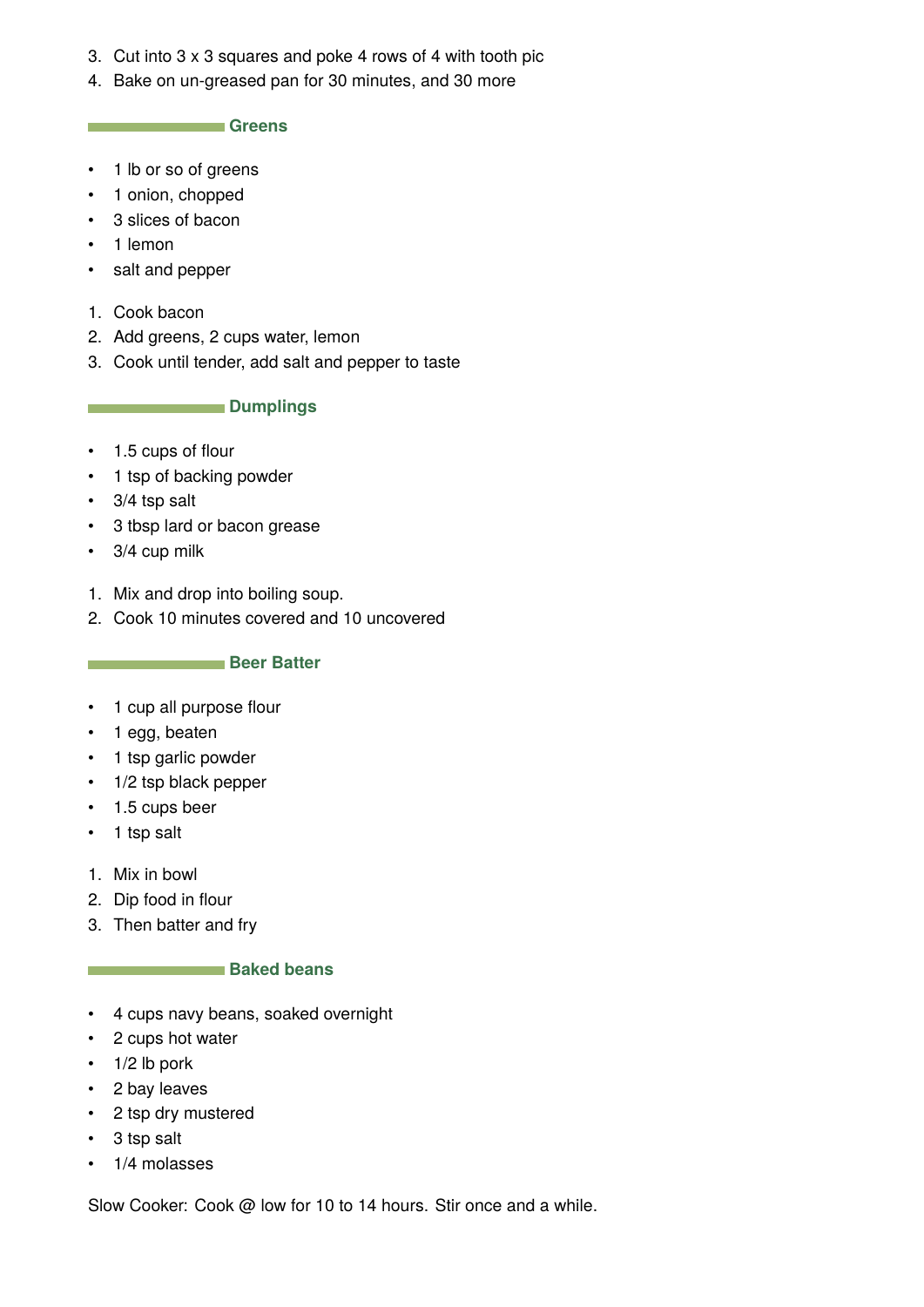- 3. Cut into 3 x 3 squares and poke 4 rows of 4 with tooth pic
- 4. Bake on un-greased pan for 30 minutes, and 30 more

**Greens** 

- 1 lb or so of greens
- 1 onion, chopped
- 3 slices of bacon
- 1 lemon
- salt and pepper
- 1. Cook bacon
- 2. Add greens, 2 cups water, lemon
- 3. Cook until tender, add salt and pepper to taste

#### **Dumplings**

- 1.5 cups of flour
- 1 tsp of backing powder
- 3/4 tsp salt
- 3 tbsp lard or bacon grease
- 3/4 cup milk
- 1. Mix and drop into boiling soup.
- 2. Cook 10 minutes covered and 10 uncovered

#### **Beer Batter**

- 1 cup all purpose flour
- 1 egg, beaten
- 1 tsp garlic powder
- 1/2 tsp black pepper
- 1.5 cups beer
- 1 tsp salt
- 1. Mix in bowl
- 2. Dip food in flour
- 3. Then batter and fry

#### **Baked beans**

- 4 cups navy beans, soaked overnight
- 2 cups hot water
- 1/2 lb pork
- 2 bay leaves
- 2 tsp dry mustered
- 3 tsp salt
- 1/4 molasses

Slow Cooker: Cook @ low for 10 to 14 hours. Stir once and a while.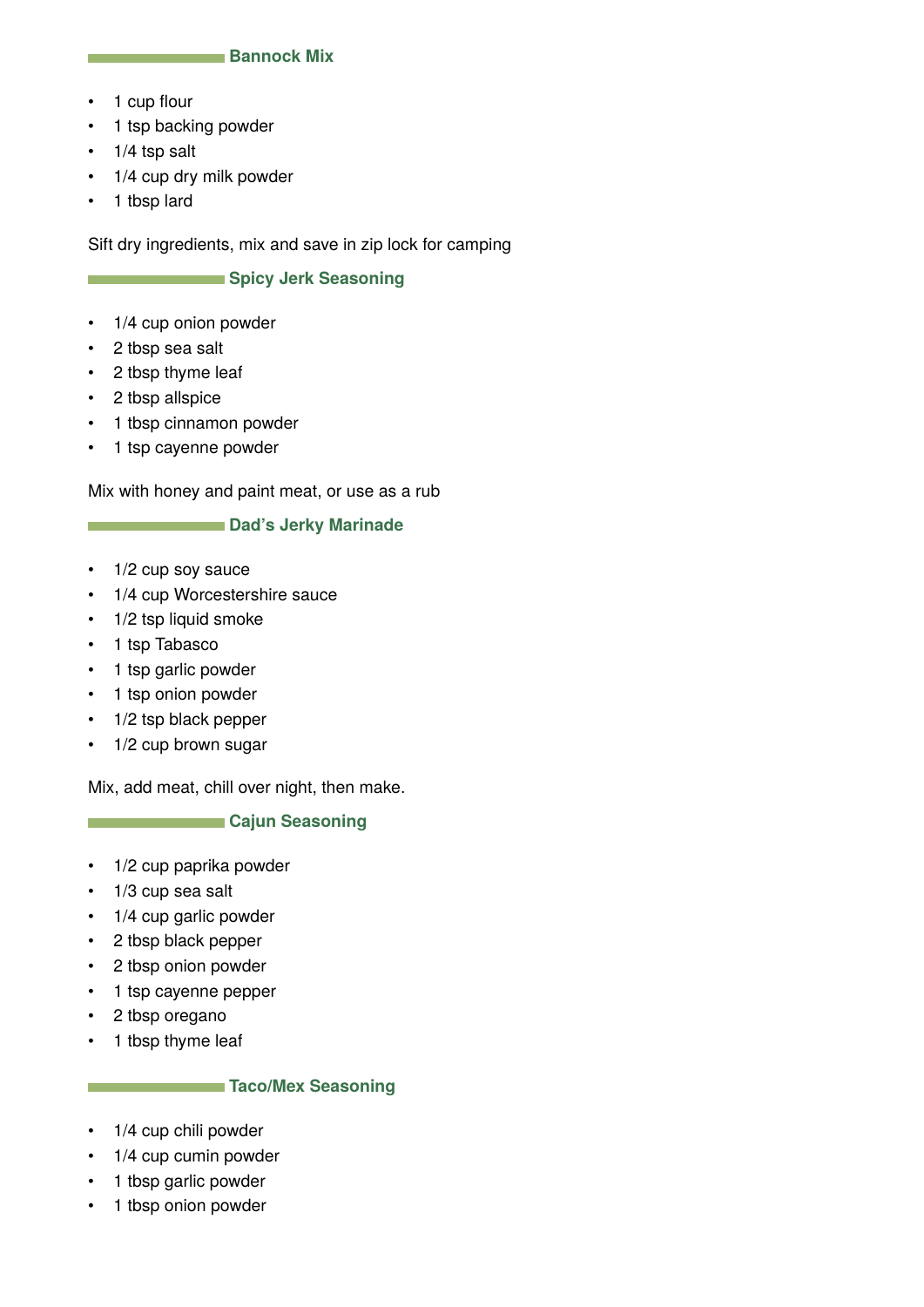#### **Bannock Mix**

- 1 cup flour
- 1 tsp backing powder
- $\cdot$  1/4 tsp salt
- 1/4 cup dry milk powder
- 1 tbsp lard

Sift dry ingredients, mix and save in zip lock for camping

#### **Spicy Jerk Seasoning**

- 1/4 cup onion powder
- 2 tbsp sea salt
- 2 tbsp thyme leaf
- 2 tbsp allspice
- 1 tbsp cinnamon powder
- 1 tsp cayenne powder

Mix with honey and paint meat, or use as a rub

#### **Dad's Jerky Marinade**

- 1/2 cup soy sauce
- 1/4 cup Worcestershire sauce
- 1/2 tsp liquid smoke
- 1 tsp Tabasco

**The Common** 

**The College** 

- 1 tsp garlic powder
- 1 tsp onion powder
- 1/2 tsp black pepper
- 1/2 cup brown sugar

Mix, add meat, chill over night, then make.

#### **Cajun Seasoning**

- 1/2 cup paprika powder
- 1/3 cup sea salt
- 1/4 cup garlic powder
- 2 tbsp black pepper
- 2 tbsp onion powder
- 1 tsp cayenne pepper
- 2 tbsp oregano
- 1 tbsp thyme leaf

#### **Taco/Mex Seasoning**

- 1/4 cup chili powder
- 1/4 cup cumin powder
- 1 tbsp garlic powder
- 1 tbsp onion powder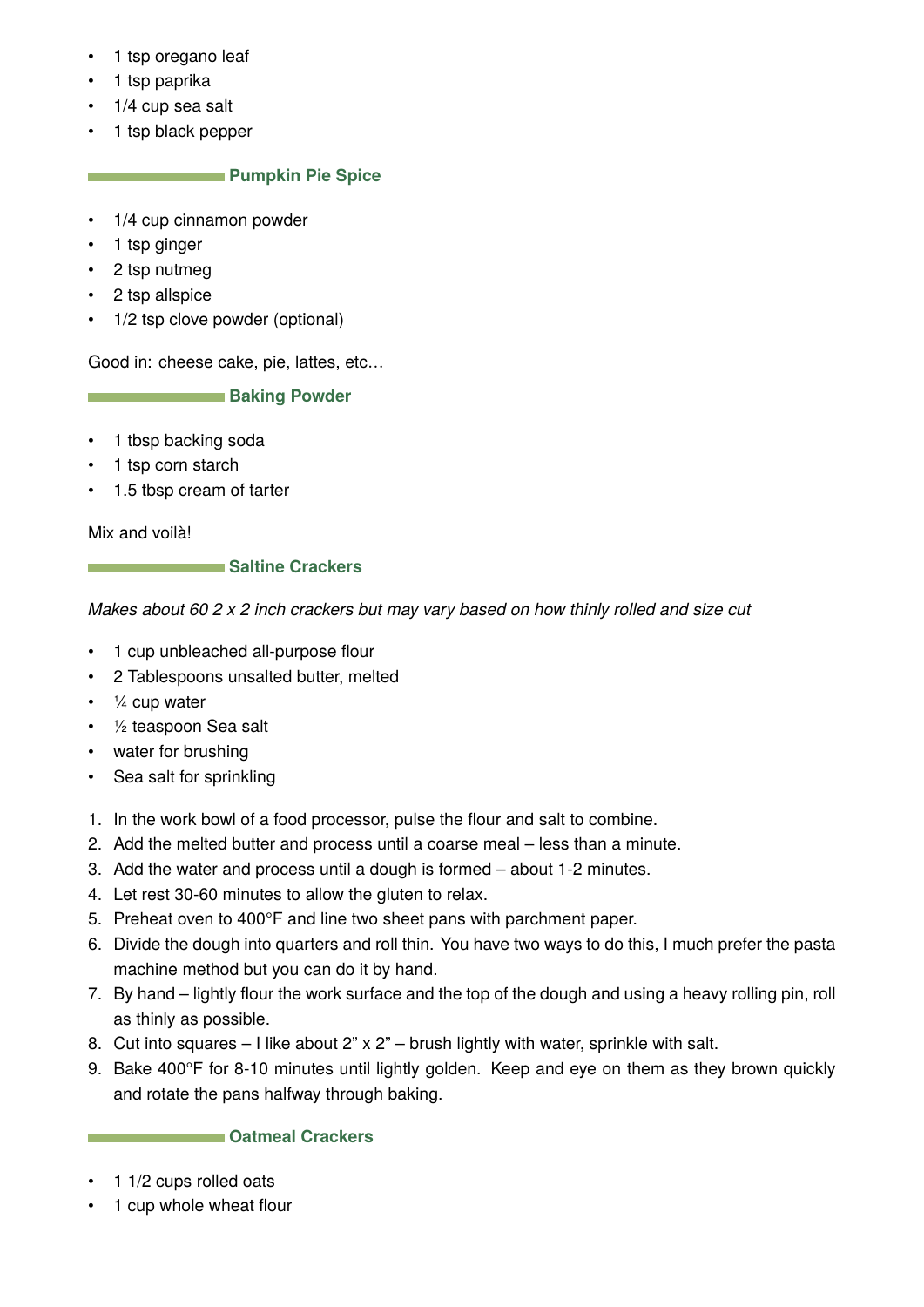- 1 tsp oregano leaf
- 1 tsp paprika
- 1/4 cup sea salt
- 1 tsp black pepper

## **Pumpkin Pie Spice**

- 1/4 cup cinnamon powder
- 1 tsp ginger
- 2 tsp nutmeg
- 2 tsp allspice
- 1/2 tsp clove powder (optional)

Good in: cheese cake, pie, lattes, etc…

**Baking Powder** 

- 1 tbsp backing soda
- 1 tsp corn starch
- 1.5 tbsp cream of tarter

Mix and voilà!

#### **Saltine Crackers**

*Makes about 60 2 x 2 inch crackers but may vary based on how thinly rolled and size cut*

- 1 cup unbleached all-purpose flour
- 2 Tablespoons unsalted butter, melted
- $\cdot$   $\frac{1}{4}$  cup water
- ½ teaspoon Sea salt
- water for brushing
- Sea salt for sprinkling
- 1. In the work bowl of a food processor, pulse the flour and salt to combine.
- 2. Add the melted butter and process until a coarse meal less than a minute.
- 3. Add the water and process until a dough is formed about 1-2 minutes.
- 4. Let rest 30-60 minutes to allow the gluten to relax.
- 5. Preheat oven to 400°F and line two sheet pans with parchment paper.
- 6. Divide the dough into quarters and roll thin. You have two ways to do this, I much prefer the pasta machine method but you can do it by hand.
- 7. By hand lightly flour the work surface and the top of the dough and using a heavy rolling pin, roll as thinly as possible.
- 8. Cut into squares I like about 2" x 2" brush lightly with water, sprinkle with salt.
- 9. Bake 400°F for 8-10 minutes until lightly golden. Keep and eye on them as they brown quickly and rotate the pans halfway through baking.

#### **Catmeal Crackers**

- 1 1/2 cups rolled oats
- 1 cup whole wheat flour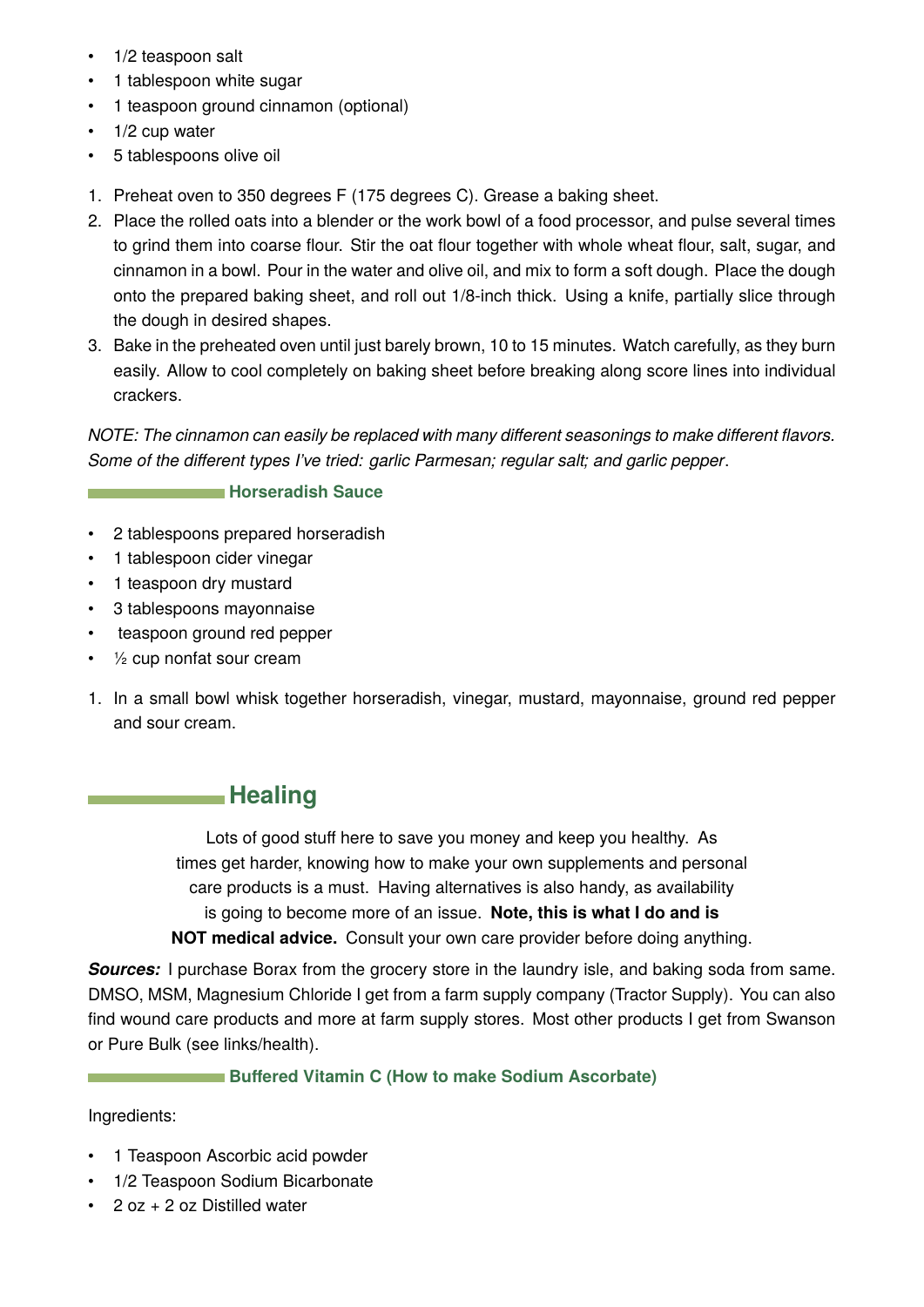- <span id="page-18-0"></span>• 1/2 teaspoon salt
- 1 tablespoon white sugar
- 1 teaspoon ground cinnamon (optional)
- 1/2 cup water
- 5 tablespoons olive oil
- 1. Preheat oven to 350 degrees F (175 degrees C). Grease a baking sheet.
- 2. Place the rolled oats into a blender or the work bowl of a food processor, and pulse several times to grind them into coarse flour. Stir the oat flour together with whole wheat flour, salt, sugar, and cinnamon in a bowl. Pour in the water and olive oil, and mix to form a soft dough. Place the dough onto the prepared baking sheet, and roll out 1/8-inch thick. Using a knife, partially slice through the dough in desired shapes.
- 3. Bake in the preheated oven until just barely brown, 10 to 15 minutes. Watch carefully, as they burn easily. Allow to cool completely on baking sheet before breaking along score lines into individual crackers.

*NOTE: The cinnamon can easily be replaced with many different seasonings to make different flavors. Some of the different types I've tried: garlic Parmesan; regular salt; and garlic pepper*.

#### **Horseradish Sauce**

- 2 tablespoons prepared horseradish
- 1 tablespoon cider vinegar
- 1 teaspoon dry mustard
- 3 tablespoons mayonnaise
- teaspoon ground red pepper
- ½ cup nonfat sour cream
- 1. In a small bowl whisk together horseradish, vinegar, mustard, mayonnaise, ground red pepper and sour cream.

## **Healing**

Lots of good stuff here to save you money and keep you healthy. As times get harder, knowing how to make your own supplements and personal care products is a must. Having alternatives is also handy, as availability is going to become more of an issue. **Note, this is what I do and is NOT medical advice.** Consult your own care provider before doing anything.

**Sources:** I purchase Borax from the grocery store in the laundry isle, and baking soda from same. DMSO, MSM, Magnesium Chloride I get from a farm supply company (Tractor Supply). You can also find wound care products and more at farm supply stores. Most other products I get from Swanson or Pure Bulk (see links/health).

#### **Buffered Vitamin C (How to make Sodium Ascorbate)**

Ingredients:

- 1 Teaspoon Ascorbic acid powder
- 1/2 Teaspoon Sodium Bicarbonate
- 2 oz + 2 oz Distilled water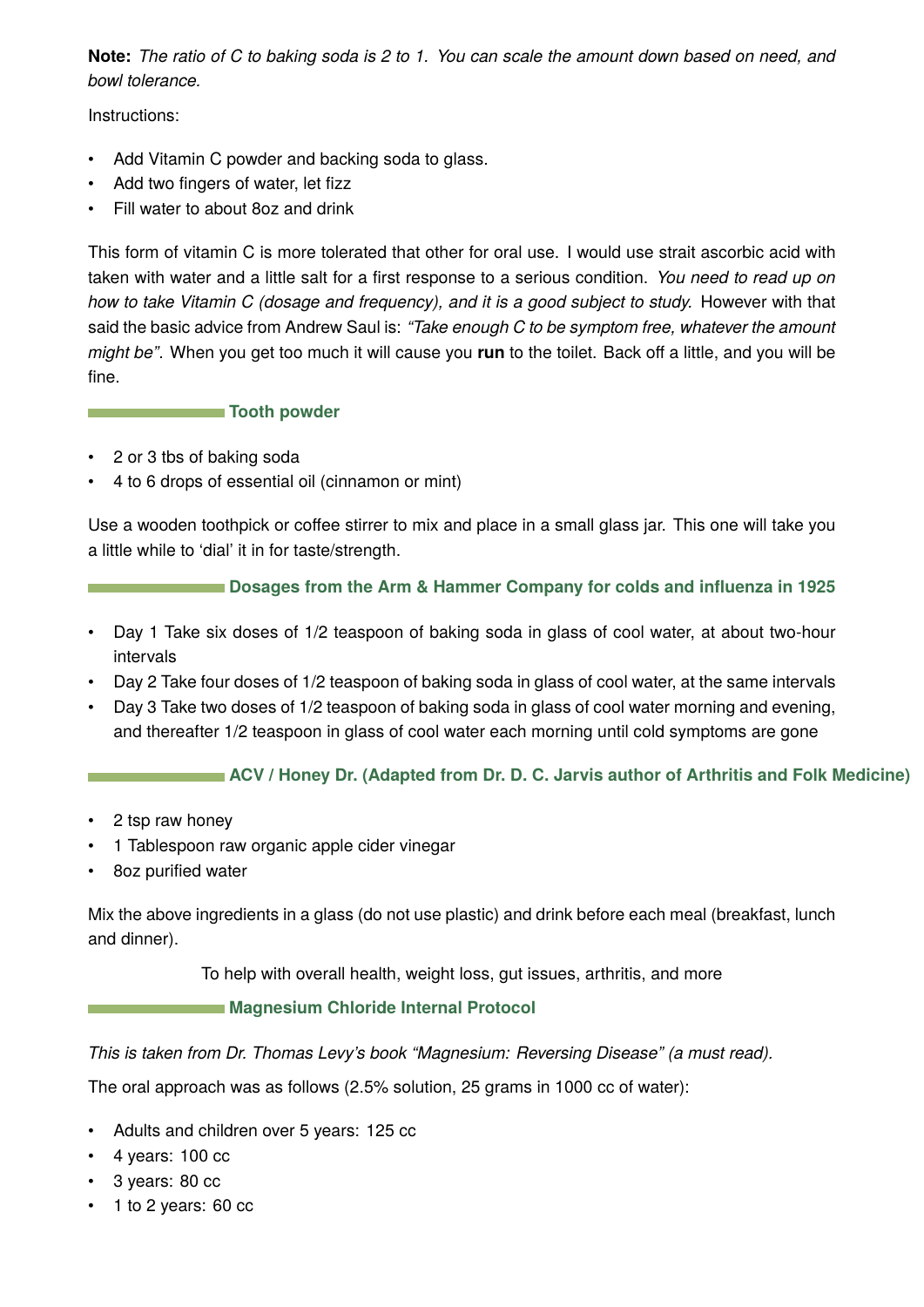**Note:** *The ratio of C to baking soda is 2 to 1. You can scale the amount down based on need, and bowl tolerance.*

Instructions:

- Add Vitamin C powder and backing soda to glass.
- Add two fingers of water, let fizz
- Fill water to about 8oz and drink

This form of vitamin C is more tolerated that other for oral use. I would use strait ascorbic acid with taken with water and a little salt for a first response to a serious condition. *You need to read up on how to take Vitamin C (dosage and frequency), and it is a good subject to study.* However with that said the basic advice from Andrew Saul is: *"Take enough C to be symptom free, whatever the amount might be"*. When you get too much it will cause you **run** to the toilet. Back off a little, and you will be fine.

#### **Tooth powder**

- 2 or 3 tbs of baking soda
- 4 to 6 drops of essential oil (cinnamon or mint)

Use a wooden toothpick or coffee stirrer to mix and place in a small glass jar. This one will take you a little while to 'dial' it in for taste/strength.

## **Dosages from the Arm & Hammer Company for colds and influenza in 1925**

- Day 1 Take six doses of 1/2 teaspoon of baking soda in glass of cool water, at about two-hour intervals
- Day 2 Take four doses of 1/2 teaspoon of baking soda in glass of cool water, at the same intervals
- Day 3 Take two doses of 1/2 teaspoon of baking soda in glass of cool water morning and evening, and thereafter 1/2 teaspoon in glass of cool water each morning until cold symptoms are gone

## **ACV / Honey Dr. (Adapted from Dr. D. C. Jarvis author of Arthritis and Folk Medicine)**

- 2 tsp raw honey
- 1 Tablespoon raw organic apple cider vinegar
- 8oz purified water

Mix the above ingredients in a glass (do not use plastic) and drink before each meal (breakfast, lunch and dinner).

To help with overall health, weight loss, gut issues, arthritis, and more

#### **Magnesium Chloride Internal Protocol**

*This is taken from Dr. Thomas Levy's book "Magnesium: Reversing Disease" (a must read).*

The oral approach was as follows (2.5% solution, 25 grams in 1000 cc of water):

- Adults and children over 5 years: 125 cc
- $\cdot$  4 years: 100 cc
- 3 years: 80 cc
- 1 to 2 years: 60 cc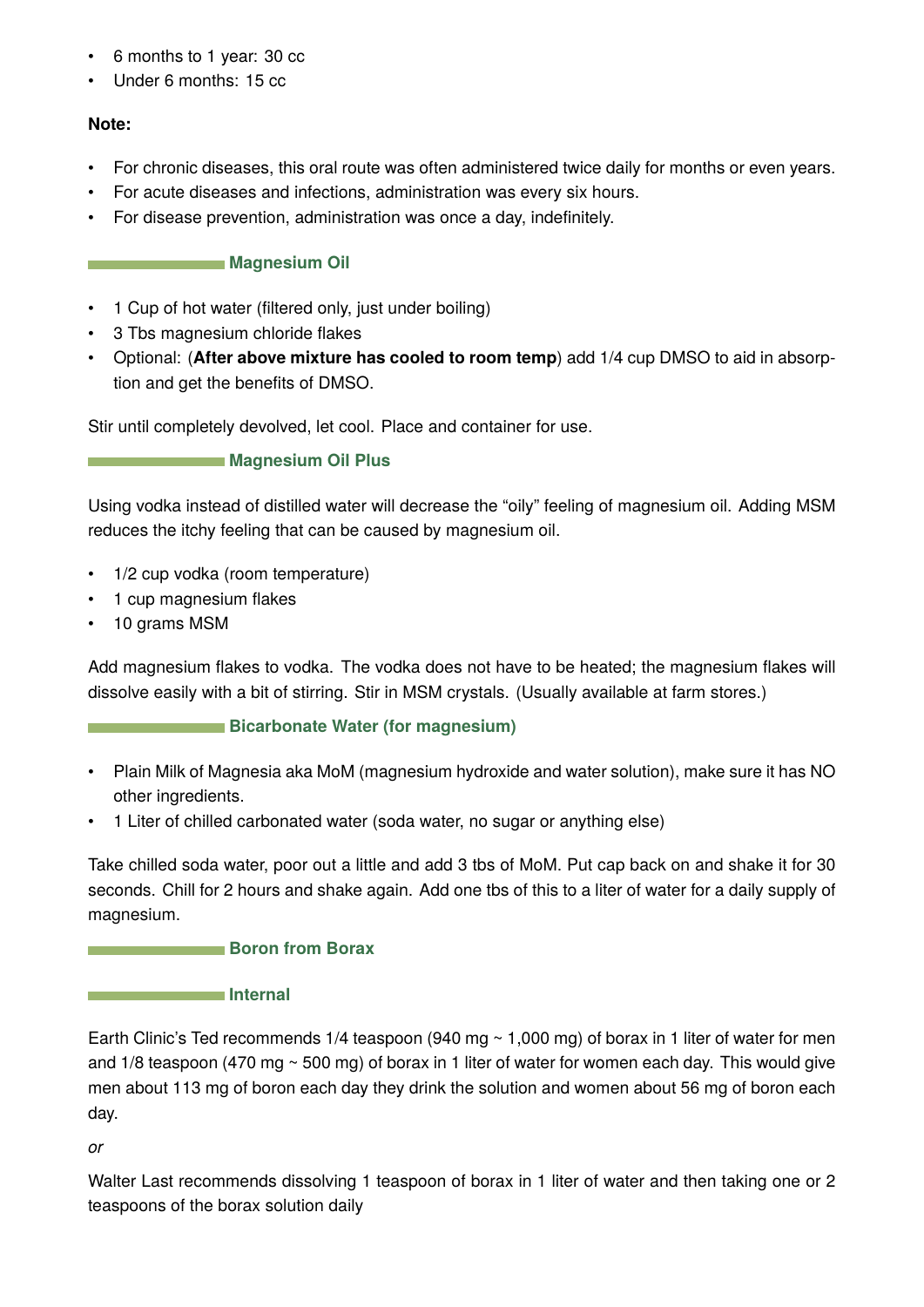- 6 months to 1 year: 30 cc
- Under 6 months: 15 cc

## **Note:**

- For chronic diseases, this oral route was often administered twice daily for months or even years.
- For acute diseases and infections, administration was every six hours.
- For disease prevention, administration was once a day, indefinitely.

## **Magnesium Oil**

- 1 Cup of hot water (filtered only, just under boiling)
- 3 Tbs magnesium chloride flakes
- Optional: (**After above mixture has cooled to room temp**) add 1/4 cup DMSO to aid in absorption and get the benefits of DMSO.

Stir until completely devolved, let cool. Place and container for use.

**Magnesium Oil Plus** 

Using vodka instead of distilled water will decrease the "oily" feeling of magnesium oil. Adding MSM reduces the itchy feeling that can be caused by magnesium oil.

- 1/2 cup vodka (room temperature)
- 1 cup magnesium flakes
- 10 grams MSM

Add magnesium flakes to vodka. The vodka does not have to be heated; the magnesium flakes will dissolve easily with a bit of stirring. Stir in MSM crystals. (Usually available at farm stores.)

## **Bicarbonate Water (for magnesium)**

- Plain Milk of Magnesia aka MoM (magnesium hydroxide and water solution), make sure it has NO other ingredients.
- 1 Liter of chilled carbonated water (soda water, no sugar or anything else)

Take chilled soda water, poor out a little and add 3 tbs of MoM. Put cap back on and shake it for 30 seconds. Chill for 2 hours and shake again. Add one tbs of this to a liter of water for a daily supply of magnesium.

## **Boron from Borax**

## **Internal**

Earth Clinic's Ted recommends 1/4 teaspoon (940 mg  $\sim$  1,000 mg) of borax in 1 liter of water for men and  $1/8$  teaspoon (470 mg  $\sim$  500 mg) of borax in 1 liter of water for women each day. This would give men about 113 mg of boron each day they drink the solution and women about 56 mg of boron each day.

*or*

Walter Last recommends dissolving 1 teaspoon of borax in 1 liter of water and then taking one or 2 teaspoons of the borax solution daily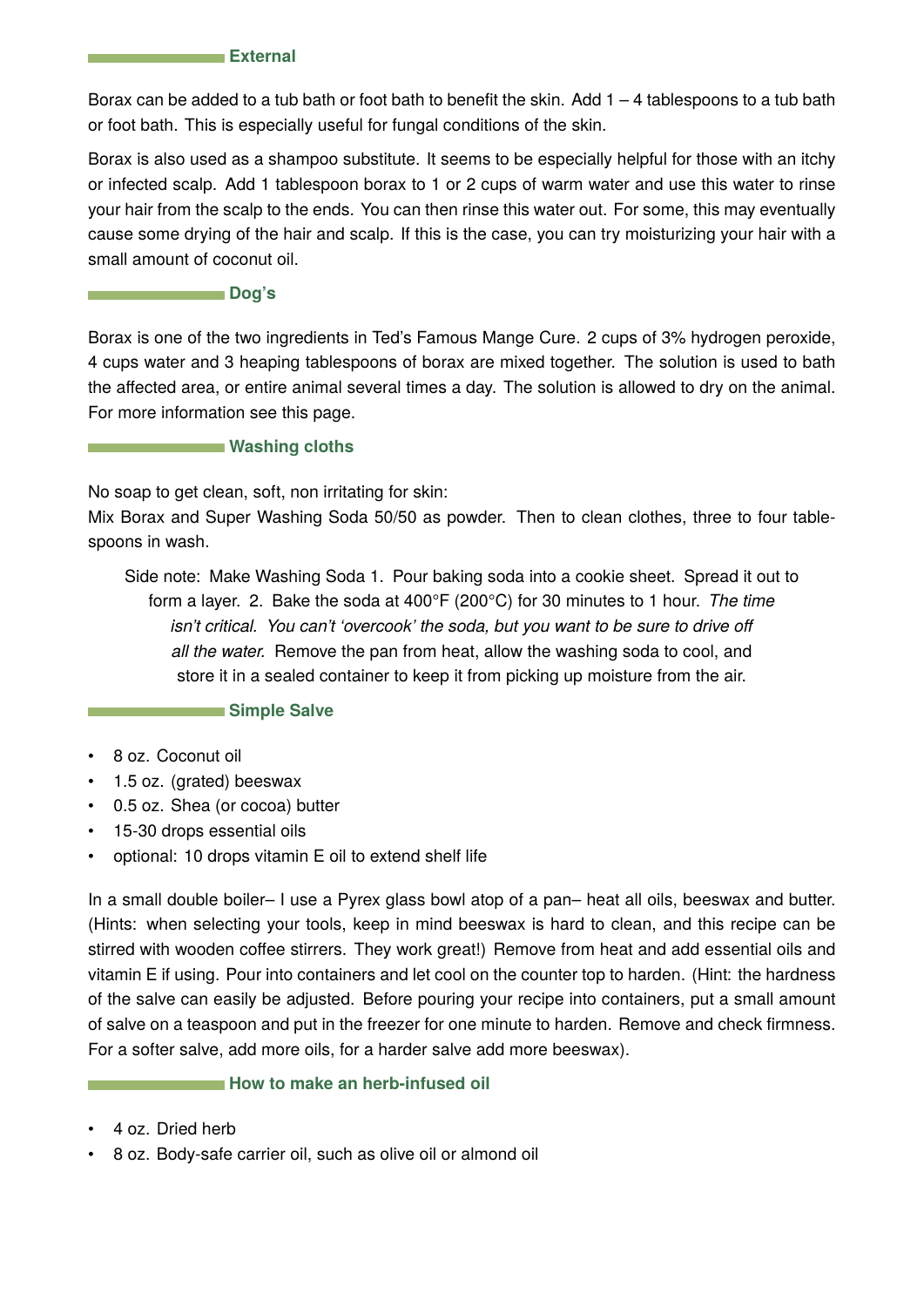#### **External**

Borax can be added to a tub bath or foot bath to benefit the skin. Add  $1 - 4$  tablespoons to a tub bath or foot bath. This is especially useful for fungal conditions of the skin.

Borax is also used as a shampoo substitute. It seems to be especially helpful for those with an itchy or infected scalp. Add 1 tablespoon borax to 1 or 2 cups of warm water and use this water to rinse your hair from the scalp to the ends. You can then rinse this water out. For some, this may eventually cause some drying of the hair and scalp. If this is the case, you can try moisturizing your hair with a small amount of coconut oil.

#### **Dog's**

Borax is one of the two ingredients in Ted's Famous Mange Cure. 2 cups of 3% hydrogen peroxide, 4 cups water and 3 heaping tablespoons of borax are mixed together. The solution is used to bath the affected area, or entire animal several times a day. The solution is allowed to dry on the animal. For more information see this page.

#### **Washing cloths**

No soap to get clean, soft, non irritating for skin:

Mix Borax and Super Washing Soda 50/50 as powder. Then to clean clothes, three to four tablespoons in wash.

Side note: Make Washing Soda 1. Pour baking soda into a cookie sheet. Spread it out to form a layer. 2. Bake the soda at 400°F (200°C) for 30 minutes to 1 hour. *The time isn't critical. You can't 'overcook' the soda, but you want to be sure to drive off all the water.* Remove the pan from heat, allow the washing soda to cool, and store it in a sealed container to keep it from picking up moisture from the air.

**Simple Salve** 

- 8 oz. Coconut oil
- 1.5 oz. (grated) beeswax
- 0.5 oz. Shea (or cocoa) butter
- 15-30 drops essential oils
- optional: 10 drops vitamin E oil to extend shelf life

In a small double boiler– I use a Pyrex glass bowl atop of a pan– heat all oils, beeswax and butter. (Hints: when selecting your tools, keep in mind beeswax is hard to clean, and this recipe can be stirred with wooden coffee stirrers. They work great!) Remove from heat and add essential oils and vitamin E if using. Pour into containers and let cool on the counter top to harden. (Hint: the hardness of the salve can easily be adjusted. Before pouring your recipe into containers, put a small amount of salve on a teaspoon and put in the freezer for one minute to harden. Remove and check firmness. For a softer salve, add more oils, for a harder salve add more beeswax).

#### **How to make an herb-infused oil**

- 4 oz. Dried herb
- 8 oz. Body-safe carrier oil, such as olive oil or almond oil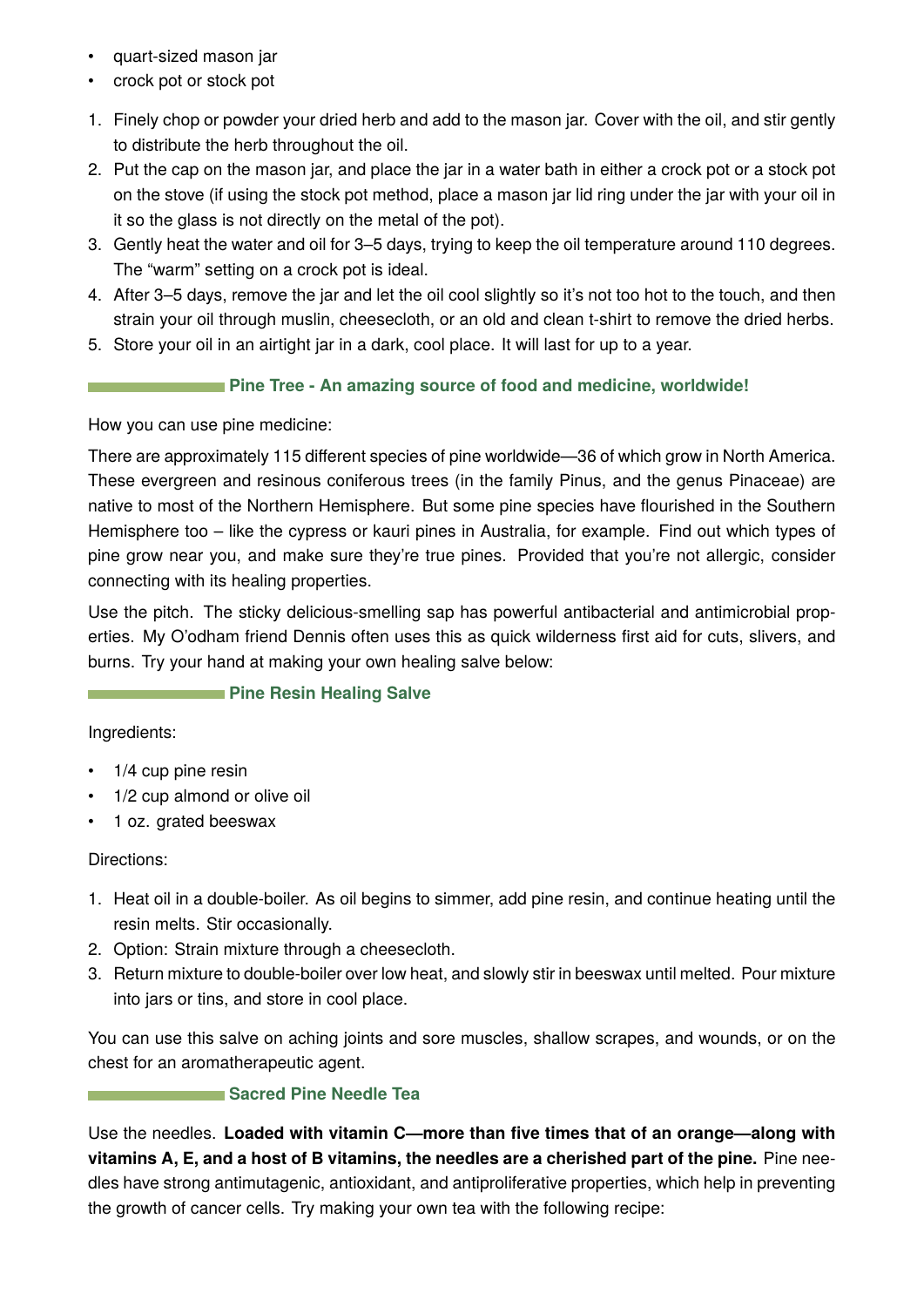- quart-sized mason jar
- crock pot or stock pot
- 1. Finely chop or powder your dried herb and add to the mason jar. Cover with the oil, and stir gently to distribute the herb throughout the oil.
- 2. Put the cap on the mason jar, and place the jar in a water bath in either a crock pot or a stock pot on the stove (if using the stock pot method, place a mason jar lid ring under the jar with your oil in it so the glass is not directly on the metal of the pot).
- 3. Gently heat the water and oil for 3–5 days, trying to keep the oil temperature around 110 degrees. The "warm" setting on a crock pot is ideal.
- 4. After 3–5 days, remove the jar and let the oil cool slightly so it's not too hot to the touch, and then strain your oil through muslin, cheesecloth, or an old and clean t-shirt to remove the dried herbs.
- 5. Store your oil in an airtight jar in a dark, cool place. It will last for up to a year.

## **Pine Tree - An amazing source of food and medicine, worldwide!**

How you can use pine medicine:

There are approximately 115 different species of pine worldwide—36 of which grow in North America. These evergreen and resinous coniferous trees (in the family Pinus, and the genus Pinaceae) are native to most of the Northern Hemisphere. But some pine species have flourished in the Southern Hemisphere too – like the cypress or kauri pines in Australia, for example. Find out which types of pine grow near you, and make sure they're true pines. Provided that you're not allergic, consider connecting with its healing properties.

Use the pitch. The sticky delicious-smelling sap has powerful antibacterial and antimicrobial properties. My O'odham friend Dennis often uses this as quick wilderness first aid for cuts, slivers, and burns. Try your hand at making your own healing salve below:

## **Pine Resin Healing Salve**

Ingredients:

- 1/4 cup pine resin
- 1/2 cup almond or olive oil
- 1 oz. grated beeswax

## Directions:

- 1. Heat oil in a double-boiler. As oil begins to simmer, add pine resin, and continue heating until the resin melts. Stir occasionally.
- 2. Option: Strain mixture through a cheesecloth.
- 3. Return mixture to double-boiler over low heat, and slowly stir in beeswax until melted. Pour mixture into jars or tins, and store in cool place.

You can use this salve on aching joints and sore muscles, shallow scrapes, and wounds, or on the chest for an aromatherapeutic agent.

## **Sacred Pine Needle Tea**

Use the needles. **Loaded with vitamin C—more than five times that of an orange—along with vitamins A, E, and a host of B vitamins, the needles are a cherished part of the pine.** Pine needles have strong antimutagenic, antioxidant, and antiproliferative properties, which help in preventing the growth of cancer cells. Try making your own tea with the following recipe: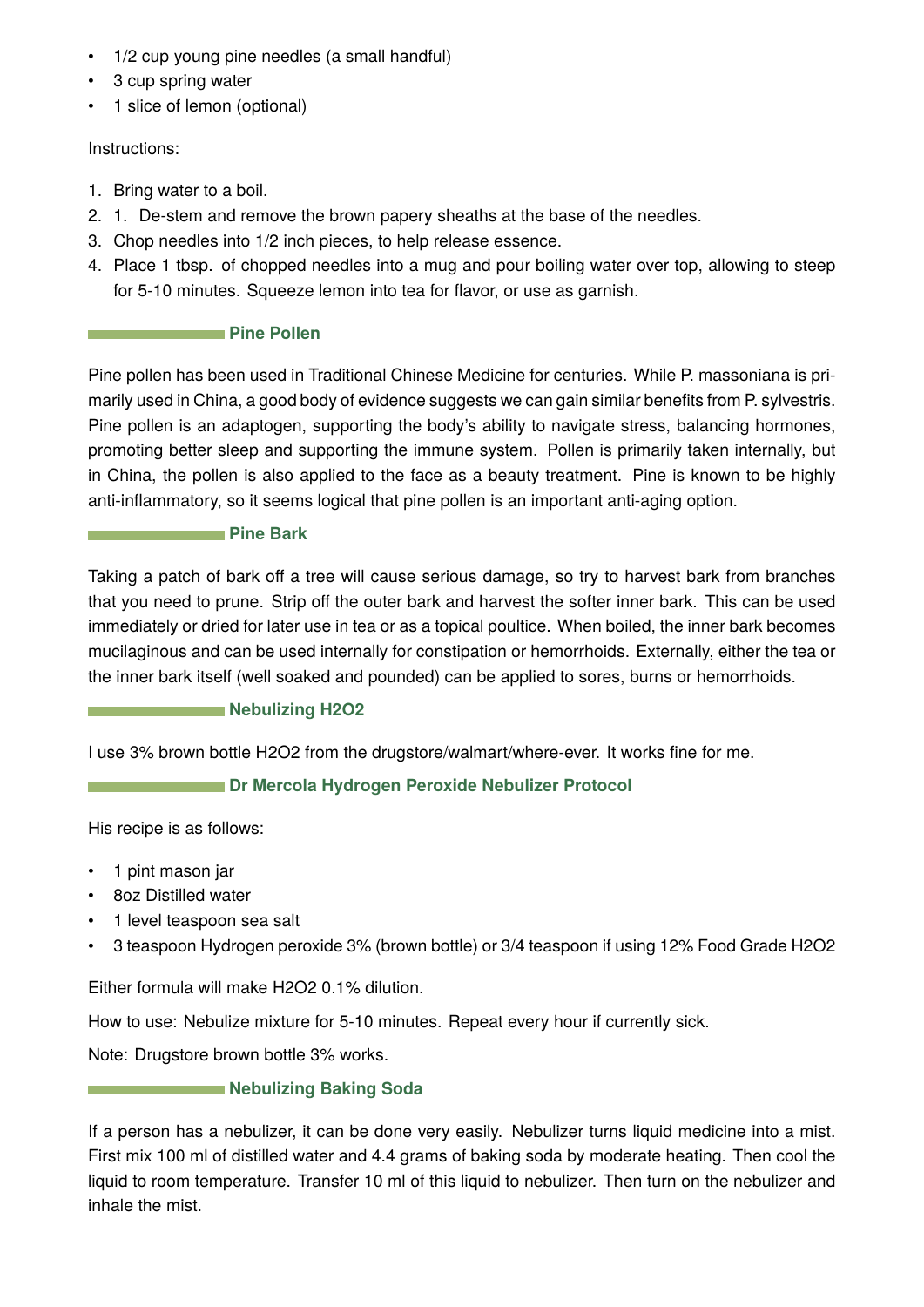- 1/2 cup young pine needles (a small handful)
- 3 cup spring water
- 1 slice of lemon (optional)

## Instructions:

- 1. Bring water to a boil.
- 2. 1. De-stem and remove the brown papery sheaths at the base of the needles.
- 3. Chop needles into 1/2 inch pieces, to help release essence.
- 4. Place 1 tbsp. of chopped needles into a mug and pour boiling water over top, allowing to steep for 5-10 minutes. Squeeze lemon into tea for flavor, or use as garnish.

## **Pine Pollen**

Pine pollen has been used in Traditional Chinese Medicine for centuries. While P. massoniana is primarily used in China, a good body of evidence suggests we can gain similar benefits from P. sylvestris. Pine pollen is an adaptogen, supporting the body's ability to navigate stress, balancing hormones, promoting better sleep and supporting the immune system. Pollen is primarily taken internally, but in China, the pollen is also applied to the face as a beauty treatment. Pine is known to be highly anti-inflammatory, so it seems logical that pine pollen is an important anti-aging option.

## **Pine Bark**

Taking a patch of bark off a tree will cause serious damage, so try to harvest bark from branches that you need to prune. Strip off the outer bark and harvest the softer inner bark. This can be used immediately or dried for later use in tea or as a topical poultice. When boiled, the inner bark becomes mucilaginous and can be used internally for constipation or hemorrhoids. Externally, either the tea or the inner bark itself (well soaked and pounded) can be applied to sores, burns or hemorrhoids.

## **Nebulizing H2O2**

I use 3% brown bottle H2O2 from the drugstore/walmart/where-ever. It works fine for me.

## **Dr Mercola Hydrogen Peroxide Nebulizer Protocol**

His recipe is as follows:

- 1 pint mason jar
- 8oz Distilled water
- 1 level teaspoon sea salt
- 3 teaspoon Hydrogen peroxide 3% (brown bottle) or 3/4 teaspoon if using 12% Food Grade H2O2

Either formula will make H2O2 0.1% dilution.

How to use: Nebulize mixture for 5-10 minutes. Repeat every hour if currently sick.

Note: Drugstore brown bottle 3% works.

## **Nebulizing Baking Soda Nebulizing Baking Soda**

If a person has a nebulizer, it can be done very easily. Nebulizer turns liquid medicine into a mist. First mix 100 ml of distilled water and 4.4 grams of baking soda by moderate heating. Then cool the liquid to room temperature. Transfer 10 ml of this liquid to nebulizer. Then turn on the nebulizer and inhale the mist.